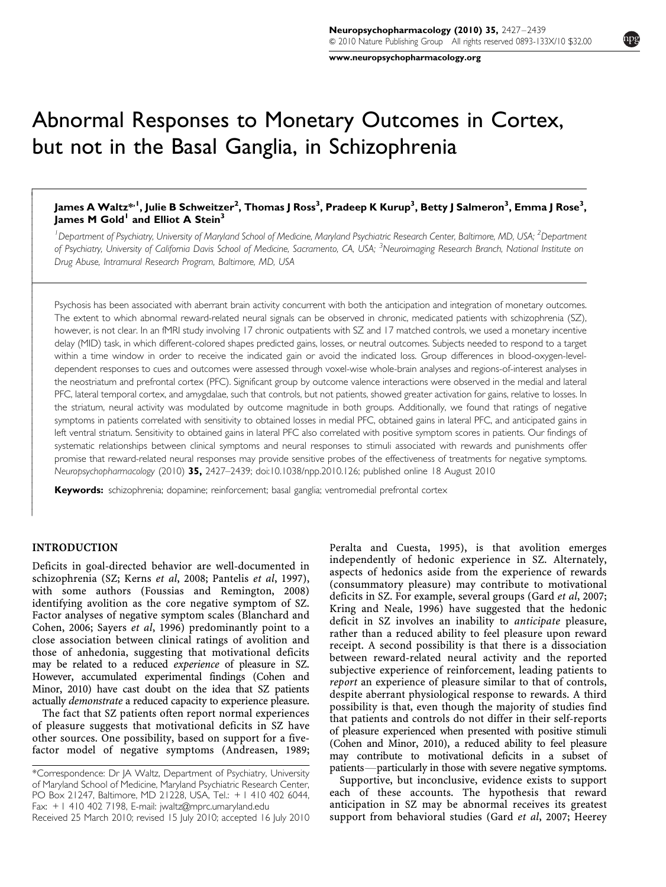[www.neuropsychopharmacology.org](http://www.neuropsychopharmacology.org)

# Abnormal Responses to Monetary Outcomes in Cortex, but not in the Basal Ganglia, in Schizophrenia

# James A Waltz\*<sup>, I</sup>, Julie B Schweitzer<sup>2</sup>, Thomas J Ross<sup>3</sup>, Pradeep K Kurup<sup>3</sup>, Betty J Salmeron<sup>3</sup>, Emma J Rose<sup>3</sup>, James M Gold<sup>1</sup> and Elliot A Stein<sup>3</sup>

<sup>1</sup> Department of Psychiatry, University of Maryland School of Medicine, Maryland Psychiatric Research Center, Baltimore, MD, USA; <sup>2</sup>Department of Psychiatry, University of Califomia Davis School of Medicine, Sacramento, CA, USA; <sup>3</sup>Neuroimaging Research Branch, National Institute on Drug Abuse, Intramural Research Program, Baltimore, MD, USA

Psychosis has been associated with aberrant brain activity concurrent with both the anticipation and integration of monetary outcomes. The extent to which abnormal reward-related neural signals can be observed in chronic, medicated patients with schizophrenia (SZ), however, is not clear. In an fMRI study involving 17 chronic outpatients with SZ and 17 matched controls, we used a monetary incentive delay (MID) task, in which different-colored shapes predicted gains, losses, or neutral outcomes. Subjects needed to respond to a target within a time window in order to receive the indicated gain or avoid the indicated loss. Group differences in blood-oxygen-leveldependent responses to cues and outcomes were assessed through voxel-wise whole-brain analyses and regions-of-interest analyses in the neostriatum and prefrontal cortex (PFC). Significant group by outcome valence interactions were observed in the medial and lateral PFC, lateral temporal cortex, and amygdalae, such that controls, but not patients, showed greater activation for gains, relative to losses. In the striatum, neural activity was modulated by outcome magnitude in both groups. Additionally, we found that ratings of negative symptoms in patients correlated with sensitivity to obtained losses in medial PFC, obtained gains in lateral PFC, and anticipated gains in left ventral striatum. Sensitivity to obtained gains in lateral PFC also correlated with positive symptom scores in patients. Our findings of systematic relationships between clinical symptoms and neural responses to stimuli associated with rewards and punishments offer promise that reward-related neural responses may provide sensitive probes of the effectiveness of treatments for negative symptoms. Neuropsychopharmacology (2010) 35, 2427–2439; doi[:10.1038/npp.2010.126](http://dx.doi.org/10.1038/npp.2010.126); published online 18 August 2010

Keywords: schizophrenia; dopamine; reinforcement; basal ganglia; ventromedial prefrontal cortex

## INTRODUCTION

-- $\overline{\phantom{a}}$  $\frac{1}{2}$  $\overline{\phantom{a}}$  $\overline{\phantom{a}}$  $\overline{\phantom{a}}$  $\overline{\phantom{a}}$  $\frac{1}{2}$  $\overline{\phantom{a}}$  $\overline{\phantom{a}}$  $\overline{\phantom{a}}$  $\frac{1}{2}$  $\overline{\phantom{a}}$  $\overline{\phantom{a}}$  $\mathsf{r}$  $\frac{1}{2}$  $\overline{\phantom{a}}$  $\overline{\phantom{a}}$  $\overline{\phantom{a}}$  $\overline{\phantom{a}}$  $\frac{1}{2}$  $\overline{\phantom{a}}$  $\overline{\phantom{a}}$  $\overline{\phantom{a}}$  $\frac{1}{2}$  $\overline{\phantom{a}}$  $\overline{\phantom{a}}$  $\overline{\phantom{a}}$  $\frac{1}{2}$  $\overline{\phantom{a}}$  $\overline{\phantom{a}}$  $\overline{\phantom{a}}$  $\overline{\phantom{a}}$  $\frac{1}{2}$  $\overline{\phantom{a}}$  $\overline{\phantom{a}}$  $\overline{\phantom{a}}$  $\frac{1}{2}$  $\overline{\phantom{a}}$  $\overline{\phantom{a}}$  $\overline{\phantom{a}}$  $\overline{\phantom{a}}$  $\frac{1}{2}$  $\overline{\phantom{a}}$  $\overline{\phantom{a}}$  $\overline{\phantom{a}}$  $\frac{1}{2}$  $\overline{\phantom{a}}$  $\overline{\phantom{a}}$ 

> Deficits in goal-directed behavior are well-documented in schizophrenia (SZ; Kerns et al[, 2008; Pantelis](#page-11-0) et al, 1997), with some authors ([Foussias and Remington, 2008](#page-11-0)) identifying avolition as the core negative symptom of SZ. Factor analyses of negative symptom scales [\(Blanchard and](#page-10-0) [Cohen, 2006;](#page-10-0) [Sayers](#page-11-0) et al, 1996) predominantly point to a close association between clinical ratings of avolition and those of anhedonia, suggesting that motivational deficits may be related to a reduced experience of pleasure in SZ. However, accumulated experimental findings [\(Cohen and](#page-11-0) [Minor, 2010\)](#page-11-0) have cast doubt on the idea that SZ patients actually demonstrate a reduced capacity to experience pleasure.

> The fact that SZ patients often report normal experiences of pleasure suggests that motivational deficits in SZ have other sources. One possibility, based on support for a fivefactor model of negative symptoms ([Andreasen, 1989;](#page-10-0)

> \*Correspondence: Dr JA Waltz, Department of Psychiatry, University of Maryland School of Medicine, Maryland Psychiatric Research Center, PO Box 21247, Baltimore, MD 21228, USA, Tel.: + 1 410 402 6044, Fax: + 1 410 402 7198, E-mail: [jwaltz@mprc.umaryland.edu](mailto:jwaltz@mprc.umaryland.edu)

[Peralta and Cuesta, 1995\)](#page-11-0), is that avolition emerges independently of hedonic experience in SZ. Alternately, aspects of hedonics aside from the experience of rewards (consummatory pleasure) may contribute to motivational deficits in SZ. For example, several groups (Gard et al[, 2007;](#page-11-0) [Kring and Neale, 1996](#page-11-0)) have suggested that the hedonic deficit in SZ involves an inability to anticipate pleasure, rather than a reduced ability to feel pleasure upon reward receipt. A second possibility is that there is a dissociation between reward-related neural activity and the reported subjective experience of reinforcement, leading patients to report an experience of pleasure similar to that of controls, despite aberrant physiological response to rewards. A third possibility is that, even though the majority of studies find that patients and controls do not differ in their self-reports of pleasure experienced when presented with positive stimuli [\(Cohen and Minor, 2010\)](#page-11-0), a reduced ability to feel pleasure may contribute to motivational deficits in a subset of patients—particularly in those with severe negative symptoms.

Supportive, but inconclusive, evidence exists to support each of these accounts. The hypothesis that reward anticipation in SZ may be abnormal receives its greatest Received 25 March 2010; revised 15 July 2010; accepted 16 July 2010 support from behavioral studies (Gard et al[, 2007; Heerey](#page-11-0)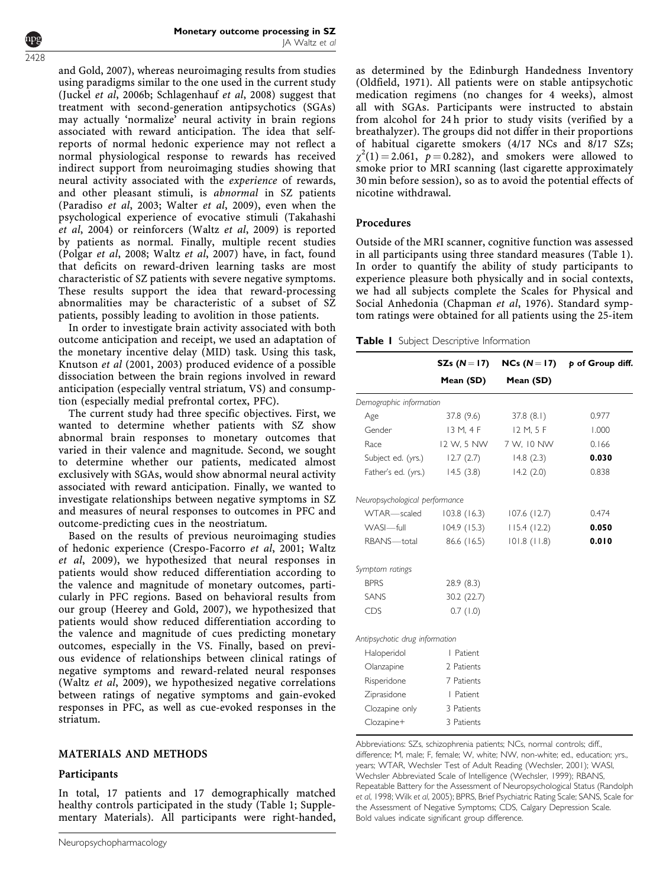2428

[and Gold, 2007](#page-11-0)), whereas neuroimaging results from studies using paradigms similar to the one used in the current study (Juckel et al[, 2006b](#page-11-0); [Schlagenhauf](#page-11-0) et al, 2008) suggest that treatment with second-generation antipsychotics (SGAs) may actually 'normalize' neural activity in brain regions associated with reward anticipation. The idea that selfreports of normal hedonic experience may not reflect a normal physiological response to rewards has received indirect support from neuroimaging studies showing that neural activity associated with the experience of rewards, and other pleasant stimuli, is abnormal in SZ patients ([Paradiso](#page-11-0) et al, 2003; [Walter](#page-12-0) et al, 2009), even when the psychological experience of evocative stimuli ([Takahashi](#page-12-0) et al[, 2004\)](#page-12-0) or reinforcers (Waltz et al[, 2009\)](#page-12-0) is reported by patients as normal. Finally, multiple recent studies ([Polgar](#page-11-0) et al, 2008; Waltz et al[, 2007\)](#page-12-0) have, in fact, found that deficits on reward-driven learning tasks are most characteristic of SZ patients with severe negative symptoms. These results support the idea that reward-processing abnormalities may be characteristic of a subset of SZ patients, possibly leading to avolition in those patients.

In order to investigate brain activity associated with both outcome anticipation and receipt, we used an adaptation of the monetary incentive delay (MID) task. Using this task, Knutson et al [\(2001, 2003\)](#page-11-0) produced evidence of a possible dissociation between the brain regions involved in reward anticipation (especially ventral striatum, VS) and consumption (especially medial prefrontal cortex, PFC).

The current study had three specific objectives. First, we wanted to determine whether patients with SZ show abnormal brain responses to monetary outcomes that varied in their valence and magnitude. Second, we sought to determine whether our patients, medicated almost exclusively with SGAs, would show abnormal neural activity associated with reward anticipation. Finally, we wanted to investigate relationships between negative symptoms in SZ and measures of neural responses to outcomes in PFC and outcome-predicting cues in the neostriatum.

Based on the results of previous neuroimaging studies of hedonic experience ([Crespo-Facorro](#page-11-0) et al, 2001; [Waltz](#page-12-0) et al[, 2009](#page-12-0)), we hypothesized that neural responses in patients would show reduced differentiation according to the valence and magnitude of monetary outcomes, particularly in PFC regions. Based on behavioral results from our group ([Heerey and Gold, 2007\)](#page-11-0), we hypothesized that patients would show reduced differentiation according to the valence and magnitude of cues predicting monetary outcomes, especially in the VS. Finally, based on previous evidence of relationships between clinical ratings of negative symptoms and reward-related neural responses (Waltz et al[, 2009\)](#page-12-0), we hypothesized negative correlations between ratings of negative symptoms and gain-evoked responses in PFC, as well as cue-evoked responses in the striatum.

## MATERIALS AND METHODS

# Participants

In total, 17 patients and 17 demographically matched healthy controls participated in the study (Table 1; Supplementary Materials). All participants were right-handed,

as determined by the Edinburgh Handedness Inventory ([Oldfield, 1971\)](#page-11-0). All patients were on stable antipsychotic medication regimens (no changes for 4 weeks), almost all with SGAs. Participants were instructed to abstain from alcohol for 24 h prior to study visits (verified by a breathalyzer). The groups did not differ in their proportions of habitual cigarette smokers (4/17 NCs and 8/17 SZs;  $\chi^2(1) = 2.061$ ,  $p = 0.282$ ), and smokers were allowed to smoke prior to MRI scanning (last cigarette approximately 30 min before session), so as to avoid the potential effects of nicotine withdrawal.

# Procedures

Outside of the MRI scanner, cognitive function was assessed in all participants using three standard measures (Table 1). In order to quantify the ability of study participants to experience pleasure both physically and in social contexts, we had all subjects complete the Scales for Physical and Social Anhedonia [\(Chapman](#page-11-0) et al, 1976). Standard symptom ratings were obtained for all patients using the 25-item

Table I Subject Descriptive Information

|                                | $SZs(N=17)$ |                | $NCs (N=17)$ p of Group diff. |
|--------------------------------|-------------|----------------|-------------------------------|
|                                | Mean (SD)   | Mean (SD)      |                               |
| Demographic information        |             |                |                               |
| Age                            | 37.8 (9.6)  | 37.8(8.1)      | 0.977                         |
| Gender                         | 13M.4F      | 12 M, 5 F      | 1.000                         |
| Race                           | 12 W, 5 NW  | 7 W, 10 NW     | 0.166                         |
| Subject ed. (yrs.) 12.7 (2.7)  |             | 14.8(2.3)      | 0.030                         |
| Father's ed. (yrs.)            | 14.5(3.8)   | 14.2(2.0)      | 0.838                         |
| Neuropsychological performance |             |                |                               |
| WTAR—scaled                    | 103.8(16.3) | 107.6(12.7)    | 0.474                         |
| WASI—full                      | 104.9(15.3) | 115.4(12.2)    | 0.050                         |
| RBANS—total                    | 86.6 (16.5) | $101.8$ (11.8) | 0.010                         |
| Symptom ratings                |             |                |                               |
| <b>BPRS</b>                    | 28.9 (8.3)  |                |                               |
| <b>SANS</b>                    | 30.2 (22.7) |                |                               |
| <b>CDS</b>                     | $0.7$ (1.0) |                |                               |
| Antipsychotic drug information |             |                |                               |
| Haloperidol                    | I Patient   |                |                               |
| Olanzapine                     | 2 Patients  |                |                               |
| Risperidone                    | 7 Patients  |                |                               |
| Ziprasidone                    | l Patient   |                |                               |
| Clozapine only                 | 3 Patients  |                |                               |
| Clozapine+                     | 3 Patients  |                |                               |

Abbreviations: SZs, schizophrenia patients; NCs, normal controls; diff., difference; M, male; F, female; W, white; NW, non-white; ed., education; yrs., years; WTAR, Wechsler Test of Adult Reading [\(Wechsler, 2001](#page-12-0)); WASI, Wechsler Abbreviated Scale of Intelligence [\(Wechsler, 1999\)](#page-12-0); RBANS, Repeatable Battery for the Assessment of Neuropsychological Status ([Randolph](#page-11-0) et al[, 1998](#page-11-0); Wilk et al[, 2005](#page-12-0)); BPRS, Brief Psychiatric Rating Scale; SANS, Scale for the Assessment of Negative Symptoms; CDS, Calgary Depression Scale. Bold values indicate significant group difference.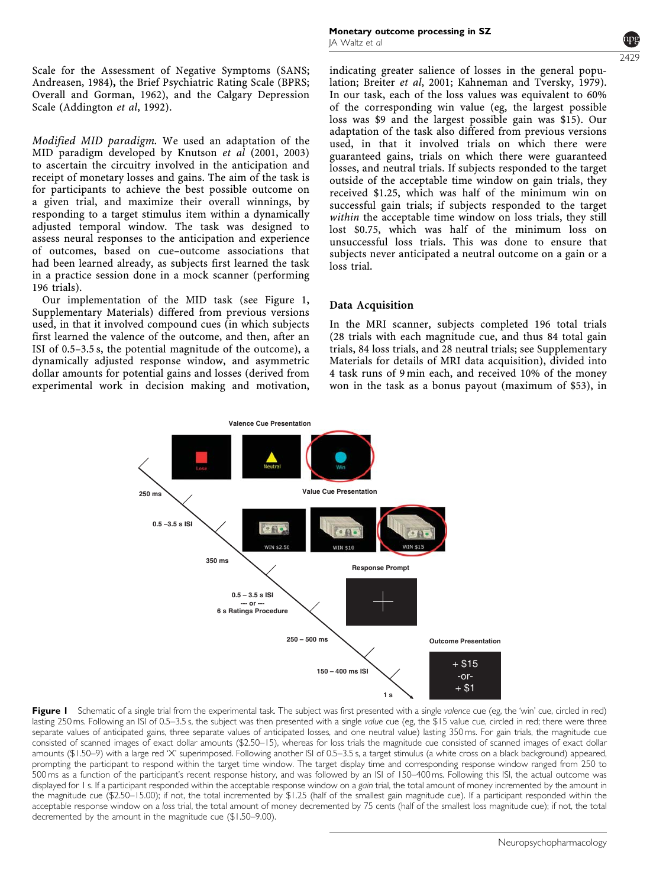Scale for the Assessment of Negative Symptoms (SANS; [Andreasen, 1984\)](#page-10-0), the Brief Psychiatric Rating Scale (BPRS; [Overall and Gorman, 1962\)](#page-11-0), and the Calgary Depression Scale ([Addington](#page-10-0) et al, 1992).

Modified MID paradigm. We used an adaptation of the MID paradigm developed by Knutson et al [\(2001, 2003\)](#page-11-0) to ascertain the circuitry involved in the anticipation and receipt of monetary losses and gains. The aim of the task is for participants to achieve the best possible outcome on a given trial, and maximize their overall winnings, by responding to a target stimulus item within a dynamically adjusted temporal window. The task was designed to assess neural responses to the anticipation and experience of outcomes, based on cue–outcome associations that had been learned already, as subjects first learned the task in a practice session done in a mock scanner (performing 196 trials).

Our implementation of the MID task (see Figure 1, Supplementary Materials) differed from previous versions used, in that it involved compound cues (in which subjects first learned the valence of the outcome, and then, after an ISI of 0.5–3.5 s, the potential magnitude of the outcome), a dynamically adjusted response window, and asymmetric dollar amounts for potential gains and losses (derived from experimental work in decision making and motivation,



indicating greater salience of losses in the general population; [Breiter](#page-10-0) et al, 2001; [Kahneman and Tversky, 1979\)](#page-11-0). In our task, each of the loss values was equivalent to 60% of the corresponding win value (eg, the largest possible loss was \$9 and the largest possible gain was \$15). Our adaptation of the task also differed from previous versions used, in that it involved trials on which there were guaranteed gains, trials on which there were guaranteed losses, and neutral trials. If subjects responded to the target outside of the acceptable time window on gain trials, they received \$1.25, which was half of the minimum win on successful gain trials; if subjects responded to the target within the acceptable time window on loss trials, they still lost \$0.75, which was half of the minimum loss on unsuccessful loss trials. This was done to ensure that subjects never anticipated a neutral outcome on a gain or a loss trial.

#### Data Acquisition

In the MRI scanner, subjects completed 196 total trials (28 trials with each magnitude cue, and thus 84 total gain trials, 84 loss trials, and 28 neutral trials; see Supplementary Materials for details of MRI data acquisition), divided into 4 task runs of 9 min each, and received 10% of the money won in the task as a bonus payout (maximum of \$53), in



Figure I Schematic of a single trial from the experimental task. The subject was first presented with a single valence cue (eg, the 'win' cue, circled in red) lasting 250 ms. Following an ISI of 0.5–3.5 s, the subject was then presented with a single value cue (eg, the \$15 value cue, circled in red; there were three separate values of anticipated gains, three separate values of anticipated losses, and one neutral value) lasting 350 ms. For gain trials, the magnitude cue consisted of scanned images of exact dollar amounts (\$2.50–15), whereas for loss trials the magnitude cue consisted of scanned images of exact dollar amounts (\$1.50–9) with a large red 'X' superimposed. Following another ISI of 0.5–3.5 s, a target stimulus (a white cross on a black background) appeared, prompting the participant to respond within the target time window. The target display time and corresponding response window ranged from 250 to 500 ms as a function of the participant's recent response history, and was followed by an ISI of 150–400 ms. Following this ISI, the actual outcome was displayed for I s. If a participant responded within the acceptable response window on a gain trial, the total amount of money incremented by the amount in the magnitude cue (\$2.50–15.00); if not, the total incremented by \$1.25 (half of the smallest gain magnitude cue). If a participant responded within the acceptable response window on a loss trial, the total amount of money decremented by 75 cents (half of the smallest loss magnitude cue); if not, the total decremented by the amount in the magnitude cue (\$1.50–9.00).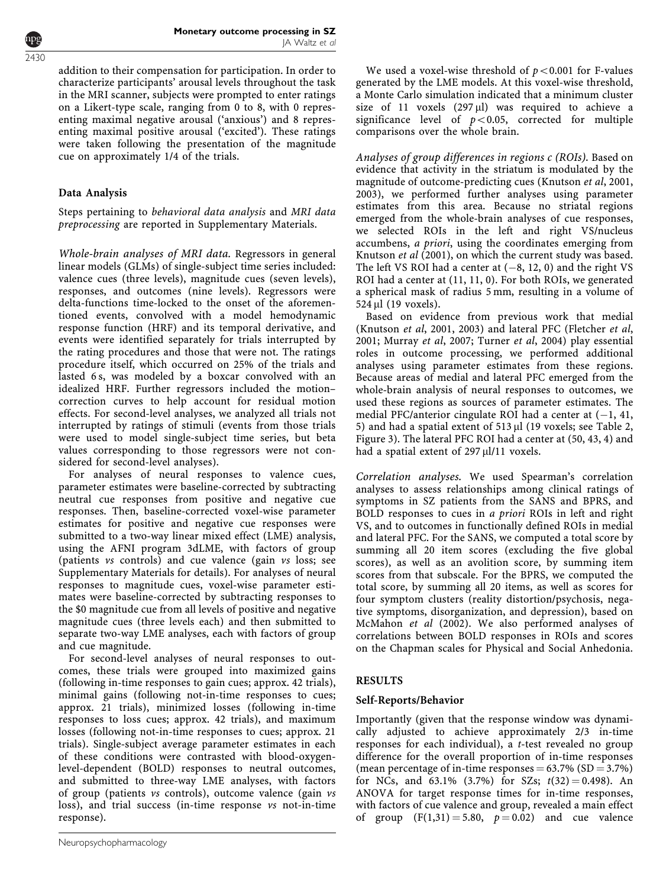addition to their compensation for participation. In order to characterize participants' arousal levels throughout the task in the MRI scanner, subjects were prompted to enter ratings on a Likert-type scale, ranging from 0 to 8, with 0 representing maximal negative arousal ('anxious') and 8 representing maximal positive arousal ('excited'). These ratings were taken following the presentation of the magnitude cue on approximately 1/4 of the trials.

# Data Analysis

Steps pertaining to behavioral data analysis and MRI data preprocessing are reported in Supplementary Materials.

Whole-brain analyses of MRI data. Regressors in general linear models (GLMs) of single-subject time series included: valence cues (three levels), magnitude cues (seven levels), responses, and outcomes (nine levels). Regressors were delta-functions time-locked to the onset of the aforementioned events, convolved with a model hemodynamic response function (HRF) and its temporal derivative, and events were identified separately for trials interrupted by the rating procedures and those that were not. The ratings procedure itself, which occurred on 25% of the trials and lasted 6 s, was modeled by a boxcar convolved with an idealized HRF. Further regressors included the motion– correction curves to help account for residual motion effects. For second-level analyses, we analyzed all trials not interrupted by ratings of stimuli (events from those trials were used to model single-subject time series, but beta values corresponding to those regressors were not considered for second-level analyses).

For analyses of neural responses to valence cues, parameter estimates were baseline-corrected by subtracting neutral cue responses from positive and negative cue responses. Then, baseline-corrected voxel-wise parameter estimates for positive and negative cue responses were submitted to a two-way linear mixed effect (LME) analysis, using the AFNI program 3dLME, with factors of group (patients vs controls) and cue valence (gain vs loss; see Supplementary Materials for details). For analyses of neural responses to magnitude cues, voxel-wise parameter estimates were baseline-corrected by subtracting responses to the \$0 magnitude cue from all levels of positive and negative magnitude cues (three levels each) and then submitted to separate two-way LME analyses, each with factors of group and cue magnitude.

For second-level analyses of neural responses to outcomes, these trials were grouped into maximized gains (following in-time responses to gain cues; approx. 42 trials), minimal gains (following not-in-time responses to cues; approx. 21 trials), minimized losses (following in-time responses to loss cues; approx. 42 trials), and maximum losses (following not-in-time responses to cues; approx. 21 trials). Single-subject average parameter estimates in each of these conditions were contrasted with blood-oxygenlevel-dependent (BOLD) responses to neutral outcomes, and submitted to three-way LME analyses, with factors of group (patients vs controls), outcome valence (gain vs loss), and trial success (in-time response vs not-in-time response).

We used a voxel-wise threshold of  $p < 0.001$  for F-values generated by the LME models. At this voxel-wise threshold, a Monte Carlo simulation indicated that a minimum cluster size of 11 voxels  $(297 \,\mu\text{I})$  was required to achieve a significance level of  $p < 0.05$ , corrected for multiple comparisons over the whole brain.

Analyses of group differences in regions c (ROIs). Based on evidence that activity in the striatum is modulated by the magnitude of outcome-predicting cues [\(Knutson](#page-11-0) et al, 2001, [2003](#page-11-0)), we performed further analyses using parameter estimates from this area. Because no striatal regions emerged from the whole-brain analyses of cue responses, we selected ROIs in the left and right VS/nucleus accumbens, a priori, using the coordinates emerging from [Knutson](#page-11-0) et al (2001), on which the current study was based. The left VS ROI had a center at  $(-8, 12, 0)$  and the right VS ROI had a center at (11, 11, 0). For both ROIs, we generated a spherical mask of radius 5 mm, resulting in a volume of 524 ml (19 voxels).

Based on evidence from previous work that medial (Knutson et al[, 2001, 2003](#page-11-0)) and lateral PFC ([Fletcher](#page-11-0) et al, [2001](#page-11-0); [Murray](#page-11-0) et al, 2007; [Turner](#page-12-0) et al, 2004) play essential roles in outcome processing, we performed additional analyses using parameter estimates from these regions. Because areas of medial and lateral PFC emerged from the whole-brain analysis of neural responses to outcomes, we used these regions as sources of parameter estimates. The medial PFC/anterior cingulate ROI had a center at  $(-1, 41, 41)$ 5) and had a spatial extent of 513  $\mu$ l (19 voxels; see [Table 2,](#page-4-0) [Figure 3\)](#page-6-0). The lateral PFC ROI had a center at (50, 43, 4) and had a spatial extent of 297 µl/11 voxels.

Correlation analyses. We used Spearman's correlation analyses to assess relationships among clinical ratings of symptoms in SZ patients from the SANS and BPRS, and BOLD responses to cues in a priori ROIs in left and right VS, and to outcomes in functionally defined ROIs in medial and lateral PFC. For the SANS, we computed a total score by summing all 20 item scores (excluding the five global scores), as well as an avolition score, by summing item scores from that subscale. For the BPRS, we computed the total score, by summing all 20 items, as well as scores for four symptom clusters (reality distortion/psychosis, negative symptoms, disorganization, and depression), based on [McMahon](#page-11-0) et al (2002). We also performed analyses of correlations between BOLD responses in ROIs and scores on the Chapman scales for Physical and Social Anhedonia.

# RESULTS

# Self-Reports/Behavior

Importantly (given that the response window was dynamically adjusted to achieve approximately 2/3 in-time responses for each individual), a t-test revealed no group difference for the overall proportion of in-time responses (mean percentage of in-time responses  $= 63.7\%$  (SD  $= 3.7\%$ ) for NCs, and 63.1% (3.7%) for SZs;  $t(32) = 0.498$ ). An ANOVA for target response times for in-time responses, with factors of cue valence and group, revealed a main effect of group  $(F(1,31) = 5.80, p = 0.02)$  and cue valence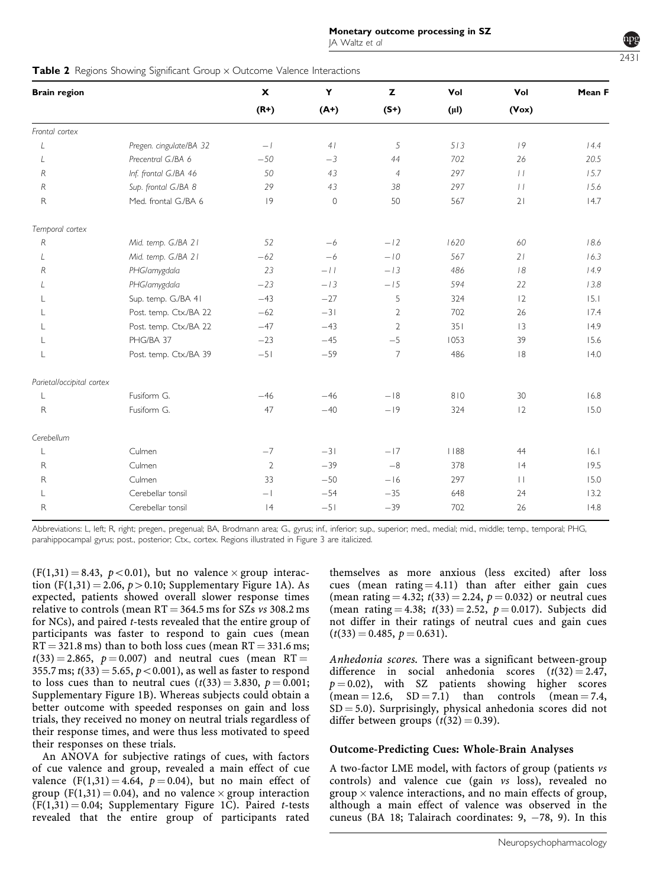2431

| <b>Brain region</b>       |                         | $\boldsymbol{\mathsf{x}}$ | Y       | z              | Vol       | Vol           | Mean F        |
|---------------------------|-------------------------|---------------------------|---------|----------------|-----------|---------------|---------------|
|                           |                         | $(R+)$                    | $(A+)$  | $(S+)$         | $(\mu I)$ | (Vox)         |               |
| Frontal cortex            |                         |                           |         |                |           |               |               |
| L                         | Pregen. cingulate/BA 32 | $-1$                      | 41      | 5              | 513       | 19            | 14.4          |
| L                         | Precentral G./BA 6      | $-50$                     | $-3$    | 44             | 702       | 26            | 20.5          |
| R                         | Inf. frontal G./BA 46   | 50                        | 43      | $\overline{4}$ | 297       | $\frac{1}{2}$ | 15.7          |
| R                         | Sup. frontal G./BA 8    | 29                        | 43      | 38             | 297       | $\frac{1}{2}$ | 15.6          |
| R                         | Med. frontal G./BA 6    | 9                         | $\circ$ | 50             | 567       | 21            | 14.7          |
| Temporal cortex           |                         |                           |         |                |           |               |               |
| $\,R$                     | Mid. temp. G./BA 21     | 52                        | $-6$    | $-12$          | 1620      | 60            | 18.6          |
| L                         | Mid. temp. G./BA 21     | $-62$                     | $-6$    | $-10$          | 567       | 21            | 16.3          |
| R                         | PHG/amygdala            | 23                        | $-11$   | $-13$          | 486       | 18            | 14.9          |
|                           | PHG/amygdala            | $-23$                     | $-13$   | $-15$          | 594       | 22            | 13.8          |
|                           | Sup. temp. G./BA 41     | $-43$                     | $-27$   | 5              | 324       | 12            | 5.1           |
|                           | Post. temp. Ctx./BA 22  | $-62$                     | $-31$   | $\overline{2}$ | 702       | 26            | 17.4          |
|                           | Post. temp. Ctx./BA 22  | $-47$                     | $-43$   | $\overline{2}$ | 351       | 3             | 14.9          |
|                           | PHG/BA 37               | $-23$                     | $-45$   | $-5$           | 1053      | 39            | 15.6          |
| L                         | Post. temp. Ctx./BA 39  | $-51$                     | $-59$   | $\overline{7}$ | 486       | 8             | 14.0          |
| Parietal/occipital cortex |                         |                           |         |                |           |               |               |
| L                         | Fusiform G.             | $-46$                     | $-46$   | $-18$          | 810       | 30            | 16.8          |
| $\mathsf{R}$              | Fusiform G.             | 47                        | $-40$   | $-19$          | 324       | 12            | 15.0          |
| Cerebellum                |                         |                           |         |                |           |               |               |
| L                         | Culmen                  | $-7$                      | $-3$    | $-17$          | 88        | 44            | $ 6.1\rangle$ |
| $\mathsf{R}$              | Culmen                  | $\overline{2}$            | $-39$   | $-8$           | 378       | 4             | 19.5          |
| $\mathsf{R}$              | Culmen                  | 33                        | $-50$   | $-16$          | 297       | $\mathbf{H}$  | 15.0          |
| L                         | Cerebellar tonsil       | $-1$                      | $-54$   | $-35$          | 648       | 24            | 13.2          |
| R                         | Cerebellar tonsil       | 4                         | $-51$   | $-39$          | 702       | 26            | 14.8          |

<span id="page-4-0"></span>Table 2 Regions Showing Significant Group x Outcome Valence Interactions

Abbreviations: L, left; R, right; pregen., pregenual; BA, Brodmann area; G., gyrus; inf., inferior; sup., superior; med., medial; mid., middle; temp., temporal; PHG, parahippocampal gyrus; post., posterior; Ctx., cortex. Regions illustrated in Figure 3 are italicized.

 $(F(1,31) = 8.43, p < 0.01)$ , but no valence  $\times$  group interaction (F(1,31) = 2.06,  $p > 0.10$ ; Supplementary Figure 1A). As expected, patients showed overall slower response times relative to controls (mean  $RT = 364.5$  ms for SZs vs 308.2 ms for NCs), and paired t-tests revealed that the entire group of participants was faster to respond to gain cues (mean  $RT = 321.8$  ms) than to both loss cues (mean  $RT = 331.6$  ms;  $t(33) = 2.865$ ,  $p = 0.007$ ) and neutral cues (mean RT = 355.7 ms;  $t(33) = 5.65$ ,  $p < 0.001$ ), as well as faster to respond to loss cues than to neutral cues  $(t(33) = 3.830, p = 0.001;$ Supplementary Figure 1B). Whereas subjects could obtain a better outcome with speeded responses on gain and loss trials, they received no money on neutral trials regardless of their response times, and were thus less motivated to speed their responses on these trials.

An ANOVA for subjective ratings of cues, with factors of cue valence and group, revealed a main effect of cue valence  $(F(1,31) = 4.64, p = 0.04)$ , but no main effect of group (F(1,31) = 0.04), and no valence  $\times$  group interaction  $(F(1,31) = 0.04;$  Supplementary Figure 1C). Paired t-tests revealed that the entire group of participants rated

themselves as more anxious (less excited) after loss cues (mean rating  $= 4.11$ ) than after either gain cues (mean rating = 4.32;  $t(33) = 2.24$ ,  $p = 0.032$ ) or neutral cues (mean rating = 4.38;  $t(33) = 2.52$ ,  $p = 0.017$ ). Subjects did not differ in their ratings of neutral cues and gain cues  $(t(33) = 0.485, p = 0.631).$ 

Anhedonia scores. There was a significant between-group difference in social anhedonia scores  $(t(32) = 2.47)$ ,  $p = 0.02$ ), with SZ patients showing higher scores  $(mean = 12.6, SD = 7.1)$  than controls  $(mean = 7.4,$  $SD = 5.0$ ). Surprisingly, physical anhedonia scores did not differ between groups  $(t(32) = 0.39)$ .

# Outcome-Predicting Cues: Whole-Brain Analyses

A two-factor LME model, with factors of group (patients vs controls) and valence cue (gain vs loss), revealed no  $group \times valence$  interactions, and no main effects of group, although a main effect of valence was observed in the cuneus (BA 18; Talairach coordinates:  $9, -78, 9$ ). In this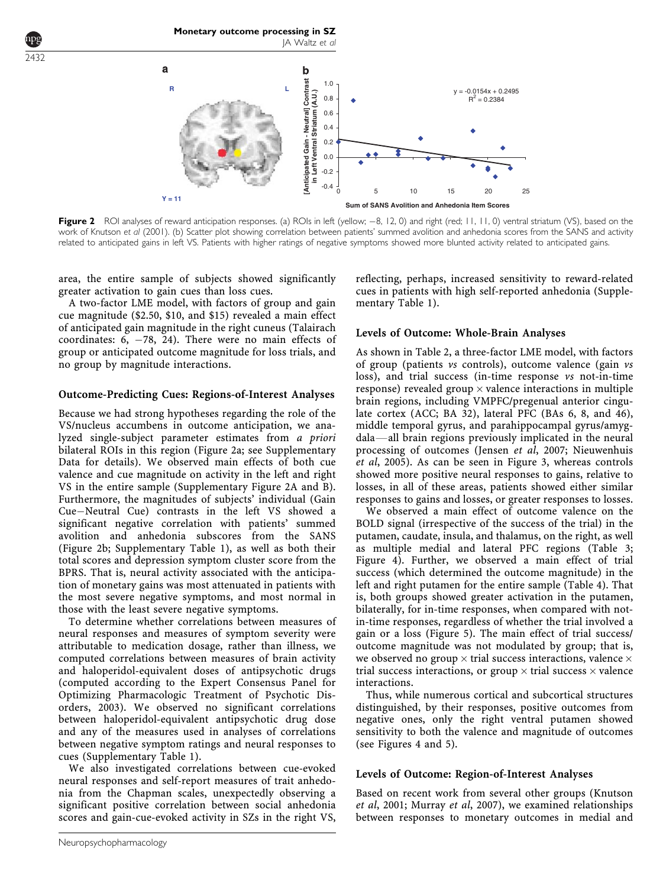

**Figure 2** ROI analyses of reward anticipation responses. (a) ROIs in left (yellow; –8, 12, 0) and right (red; 11, 11, 0) ventral striatum (VS), based on the work of [Knutson](#page-11-0) et al (2001). (b) Scatter plot showing correlation between patients' summed avolition and anhedonia scores from the SANS and activity related to anticipated gains in left VS. Patients with higher ratings of negative symptoms showed more blunted activity related to anticipated gains.

area, the entire sample of subjects showed significantly greater activation to gain cues than loss cues.

2432

A two-factor LME model, with factors of group and gain cue magnitude (\$2.50, \$10, and \$15) revealed a main effect of anticipated gain magnitude in the right cuneus (Talairach  $coordinates: 6, -78, 24$ . There were no main effects of group or anticipated outcome magnitude for loss trials, and no group by magnitude interactions.

#### Outcome-Predicting Cues: Regions-of-Interest Analyses

Because we had strong hypotheses regarding the role of the VS/nucleus accumbens in outcome anticipation, we analyzed single-subject parameter estimates from a priori bilateral ROIs in this region (Figure 2a; see Supplementary Data for details). We observed main effects of both cue valence and cue magnitude on activity in the left and right VS in the entire sample (Supplementary Figure 2A and B). Furthermore, the magnitudes of subjects' individual (Gain Cue-Neutral Cue) contrasts in the left VS showed a significant negative correlation with patients' summed avolition and anhedonia subscores from the SANS (Figure 2b; Supplementary Table 1), as well as both their total scores and depression symptom cluster score from the BPRS. That is, neural activity associated with the anticipation of monetary gains was most attenuated in patients with the most severe negative symptoms, and most normal in those with the least severe negative symptoms.

To determine whether correlations between measures of neural responses and measures of symptom severity were attributable to medication dosage, rather than illness, we computed correlations between measures of brain activity and haloperidol-equivalent doses of antipsychotic drugs (computed according to the Expert Consensus Panel for Optimizing Pharmacologic Treatment of Psychotic Disorders, 2003). We observed no significant correlations between haloperidol-equivalent antipsychotic drug dose and any of the measures used in analyses of correlations between negative symptom ratings and neural responses to cues (Supplementary Table 1).

We also investigated correlations between cue-evoked neural responses and self-report measures of trait anhedonia from the Chapman scales, unexpectedly observing a significant positive correlation between social anhedonia scores and gain-cue-evoked activity in SZs in the right VS, reflecting, perhaps, increased sensitivity to reward-related cues in patients with high self-reported anhedonia (Supplementary Table 1).

#### Levels of Outcome: Whole-Brain Analyses

As shown in [Table 2,](#page-4-0) a three-factor LME model, with factors of group (patients vs controls), outcome valence (gain vs loss), and trial success (in-time response vs not-in-time response) revealed group  $\times$  valence interactions in multiple brain regions, including VMPFC/pregenual anterior cingulate cortex (ACC; BA 32), lateral PFC (BAs 6, 8, and 46), middle temporal gyrus, and parahippocampal gyrus/amygdala—all brain regions previously implicated in the neural processing of outcomes ([Jensen](#page-11-0) et al, 2007; [Nieuwenhuis](#page-11-0) et al[, 2005](#page-11-0)). As can be seen in [Figure 3](#page-6-0), whereas controls showed more positive neural responses to gains, relative to losses, in all of these areas, patients showed either similar responses to gains and losses, or greater responses to losses.

We observed a main effect of outcome valence on the BOLD signal (irrespective of the success of the trial) in the putamen, caudate, insula, and thalamus, on the right, as well as multiple medial and lateral PFC regions ([Table 3;](#page-7-0) [Figure 4\)](#page-8-0). Further, we observed a main effect of trial success (which determined the outcome magnitude) in the left and right putamen for the entire sample ([Table 4](#page-8-0)). That is, both groups showed greater activation in the putamen, bilaterally, for in-time responses, when compared with notin-time responses, regardless of whether the trial involved a gain or a loss [\(Figure 5](#page-9-0)). The main effect of trial success/ outcome magnitude was not modulated by group; that is, we observed no group  $\times$  trial success interactions, valence  $\times$ trial success interactions, or group  $\times$  trial success  $\times$  valence interactions.

Thus, while numerous cortical and subcortical structures distinguished, by their responses, positive outcomes from negative ones, only the right ventral putamen showed sensitivity to both the valence and magnitude of outcomes (see [Figures 4 and 5](#page-8-0)).

#### Levels of Outcome: Region-of-Interest Analyses

Based on recent work from several other groups [\(Knutson](#page-11-0) et al[, 2001; Murray](#page-11-0) et al, 2007), we examined relationships between responses to monetary outcomes in medial and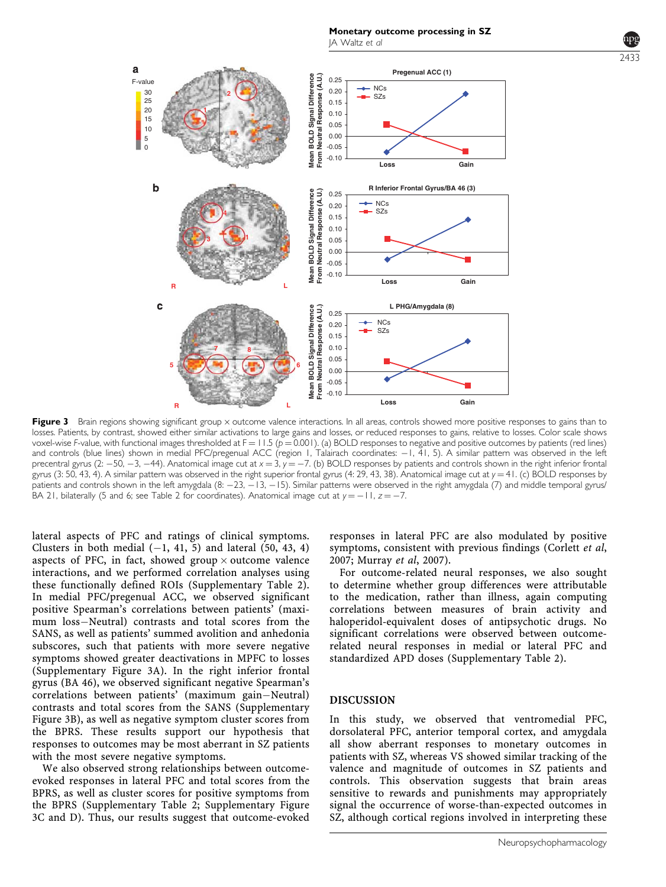<span id="page-6-0"></span>

Figure 3 Brain regions showing significant group x outcome valence interactions. In all areas, controls showed more positive responses to gains than to losses. Patients, by contrast, showed either similar activations to large gains and losses, or reduced responses to gains, relative to losses. Color scale shows voxel-wise F-value, with functional images thresholded at  $F = 11.5$  ( $p = 0.001$ ). (a) BOLD responses to negative and positive outcomes by patients (red lines) and controls (blue lines) shown in medial PFC/pregenual ACC (region 1, Talairach coordinates: –1, 41, 5). A similar pattem was observed in the left precentral gyrus (2: –50, –3, –44). Anatomical image cut at  $x=3$ , y = –7. (b) BOLD responses by patients and controls shown in the right inferior frontal gyrus (3: 50, 43, 4). A similar pattern was observed in the right superior frontal gyrus (4: 29, 43, 38). Anatomical image cut at  $y = 41$ . (c) BOLD responses by patients and controls shown in the left amygdala (8: —23, —13, —15). Similar pattems were observed in the right amygdala (7) and middle temporal gyrus/ BA 21, bilaterally (5 and 6; see [Table 2](#page-4-0) for coordinates). Anatomical image cut at  $y = -11$ ,  $z = -7$ .

lateral aspects of PFC and ratings of clinical symptoms. Clusters in both medial  $(-1, 41, 5)$  and lateral  $(50, 43, 4)$ aspects of PFC, in fact, showed group  $\times$  outcome valence interactions, and we performed correlation analyses using these functionally defined ROIs (Supplementary Table 2). In medial PFC/pregenual ACC, we observed significant positive Spearman's correlations between patients' (maximum loss-Neutral) contrasts and total scores from the SANS, as well as patients' summed avolition and anhedonia subscores, such that patients with more severe negative symptoms showed greater deactivations in MPFC to losses (Supplementary Figure 3A). In the right inferior frontal gyrus (BA 46), we observed significant negative Spearman's correlations between patients' (maximum gain-Neutral) contrasts and total scores from the SANS (Supplementary Figure 3B), as well as negative symptom cluster scores from the BPRS. These results support our hypothesis that responses to outcomes may be most aberrant in SZ patients with the most severe negative symptoms.

We also observed strong relationships between outcomeevoked responses in lateral PFC and total scores from the BPRS, as well as cluster scores for positive symptoms from the BPRS (Supplementary Table 2; Supplementary Figure 3C and D). Thus, our results suggest that outcome-evoked responses in lateral PFC are also modulated by positive symptoms, consistent with previous findings ([Corlett](#page-11-0) et al, [2007; Murray](#page-11-0) et al, 2007).

For outcome-related neural responses, we also sought to determine whether group differences were attributable to the medication, rather than illness, again computing correlations between measures of brain activity and haloperidol-equivalent doses of antipsychotic drugs. No significant correlations were observed between outcomerelated neural responses in medial or lateral PFC and standardized APD doses (Supplementary Table 2).

#### DISCUSSION

In this study, we observed that ventromedial PFC, dorsolateral PFC, anterior temporal cortex, and amygdala all show aberrant responses to monetary outcomes in patients with SZ, whereas VS showed similar tracking of the valence and magnitude of outcomes in SZ patients and controls. This observation suggests that brain areas sensitive to rewards and punishments may appropriately signal the occurrence of worse-than-expected outcomes in SZ, although cortical regions involved in interpreting these

2433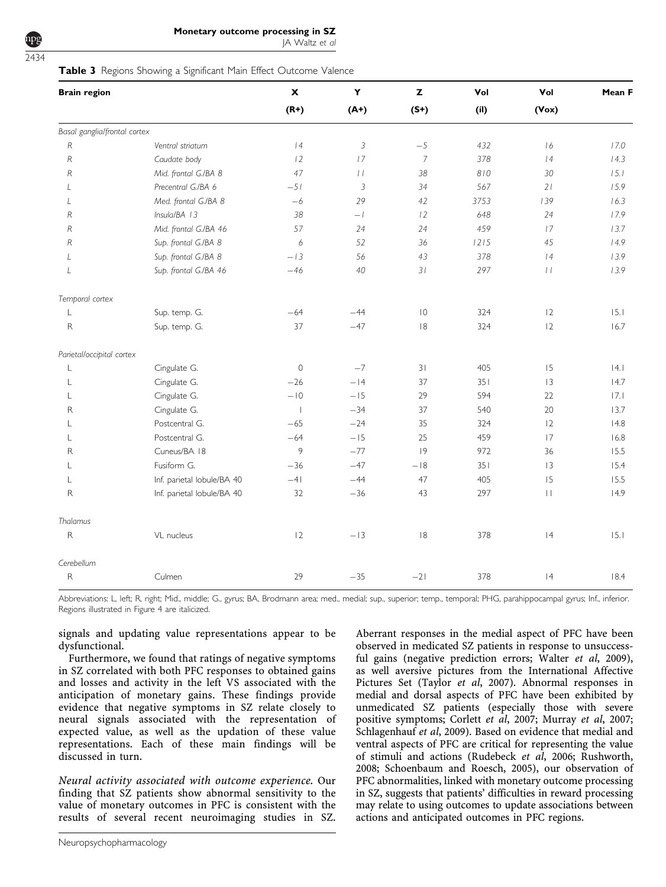<span id="page-7-0"></span>

JA Waltz et al

## 2434

#### Table 3 Regions Showing a Significant Main Effect Outcome Valence

| <b>Brain region</b>          |                            | $\pmb{\mathsf{x}}$       | $\mathbf Y$   | z              | Vol  | Vol                       | Mean F |
|------------------------------|----------------------------|--------------------------|---------------|----------------|------|---------------------------|--------|
|                              |                            | $(R+)$                   | $(A+)$        | $(S+)$         | (i!) | (Vox)                     |        |
| Basal ganglia/frontal cortex |                            |                          |               |                |      |                           |        |
| R                            | Ventral striatum           | 4                        | 3             | $-5$           | 432  | 16                        | 17.0   |
| R                            | Caudate body               | 12                       | 17            | $\overline{7}$ | 378  | 4                         | 14.3   |
| R                            | Mid. frontal G./BA 8       | 47                       | $\frac{1}{2}$ | 38             | 810  | 30                        | 15.1   |
| L                            | Precentral G./BA 6         | $-51$                    | 3             | 34             | 567  | 21                        | 15.9   |
| L                            | Med. frontal G./BA 8       | $-6$                     | 29            | 42             | 3753 | 139                       | 16.3   |
| R                            | Insula/BA 13               | 38                       | $-1$          | 12             | 648  | 24                        | 17.9   |
| R                            | Mid. frontal G./BA 46      | 57                       | 24            | 24             | 459  | 17                        | 13.7   |
| R                            | Sup. frontal G./BA 8       | 6                        | 52            | 36             | 1215 | 45                        | 14.9   |
| L                            | Sup. frontal G./BA 8       | $-13$                    | 56            | 43             | 378  | 4                         | 13.9   |
| L                            | Sup. frontal G./BA 46      | $-46$                    | 40            | 31             | 297  | $\ensuremath{\mathsf{I}}$ | 13.9   |
| Temporal cortex              |                            |                          |               |                |      |                           |        |
| L                            | Sup. temp. G.              | $-64$                    | $-44$         | $\overline{0}$ | 324  | 2                         | 15.1   |
| ${\sf R}$                    | Sup. temp. G.              | 37                       | $-47$         | 8              | 324  | 12                        | 16.7   |
| Parietal/occipital cortex    |                            |                          |               |                |      |                           |        |
| L                            | Cingulate G.               | $\circ$                  | $-7$          | 31             | 405  | 15                        | 4.1    |
| L                            | Cingulate G.               | $-26$                    | $-14$         | 37             | 351  | 3                         | 14.7   |
| L                            | Cingulate G.               | $-10$                    | $-15$         | 29             | 594  | 22                        | 7.1    |
| R                            | Cingulate G.               | $\overline{\phantom{a}}$ | $-34$         | 37             | 540  | 20                        | 13.7   |
| L                            | Postcentral G.             | $-65$                    | $-24$         | 35             | 324  | 12                        | 4.8    |
| L                            | Postcentral G.             | $-64$                    | $-15$         | 25             | 459  | 17                        | 16.8   |
| ${\sf R}$                    | Cuneus/BA 18               | 9                        | $-77$         | 9              | 972  | 36                        | 15.5   |
| L                            | Fusiform G.                | $-36$                    | $-47$         | $-18$          | 351  | 3                         | 15.4   |
| L                            | Inf. parietal lobule/BA 40 | $-4$                     | $-44$         | 47             | 405  | 15                        | 15.5   |
| ${\sf R}$                    | Inf. parietal lobule/BA 40 | 32                       | $-36$         | 43             | 297  | $\vert \ \vert$           | 14.9   |
| Thalamus                     |                            |                          |               |                |      |                           |        |
| ${\sf R}$                    | VL nucleus                 | 12                       | $-13$         | $\mid 8$       | 378  | 4                         | 15.1   |
| Cerebellum                   |                            |                          |               |                |      |                           |        |
| $\mathsf R$                  | Culmen                     | 29                       | $-35$         | $-21$          | 378  | 4                         | 18.4   |

Abbreviations: L, left; R, right; Mid., middle; G., gyrus; BA, Brodmann area; med., medial; sup., superior; temp., temporal; PHG, parahippocampal gyrus; Inf., inferior. Regions illustrated in Figure 4 are italicized.

signals and updating value representations appear to be dysfunctional.

Furthermore, we found that ratings of negative symptoms in SZ correlated with both PFC responses to obtained gains and losses and activity in the left VS associated with the anticipation of monetary gains. These findings provide evidence that negative symptoms in SZ relate closely to neural signals associated with the representation of expected value, as well as the updation of these value representations. Each of these main findings will be discussed in turn.

Neural activity associated with outcome experience. Our finding that SZ patients show abnormal sensitivity to the value of monetary outcomes in PFC is consistent with the results of several recent neuroimaging studies in SZ.

Neuropsychopharmacology

Aberrant responses in the medial aspect of PFC have been observed in medicated SZ patients in response to unsuccessful gains (negative prediction errors; [Walter](#page-12-0) et al, 2009), as well aversive pictures from the International Affective Pictures Set [\(Taylor](#page-12-0) et al, 2007). Abnormal responses in medial and dorsal aspects of PFC have been exhibited by unmedicated SZ patients (especially those with severe positive symptoms; [Corlett](#page-11-0) et al, 2007; [Murray](#page-11-0) et al, 2007; [Schlagenhauf](#page-11-0) et al, 2009). Based on evidence that medial and ventral aspects of PFC are critical for representing the value of stimuli and actions ([Rudebeck](#page-11-0) et al, 2006; [Rushworth,](#page-11-0) [2008;](#page-11-0) [Schoenbaum and Roesch, 2005](#page-12-0)), our observation of PFC abnormalities, linked with monetary outcome processing in SZ, suggests that patients' difficulties in reward processing may relate to using outcomes to update associations between actions and anticipated outcomes in PFC regions.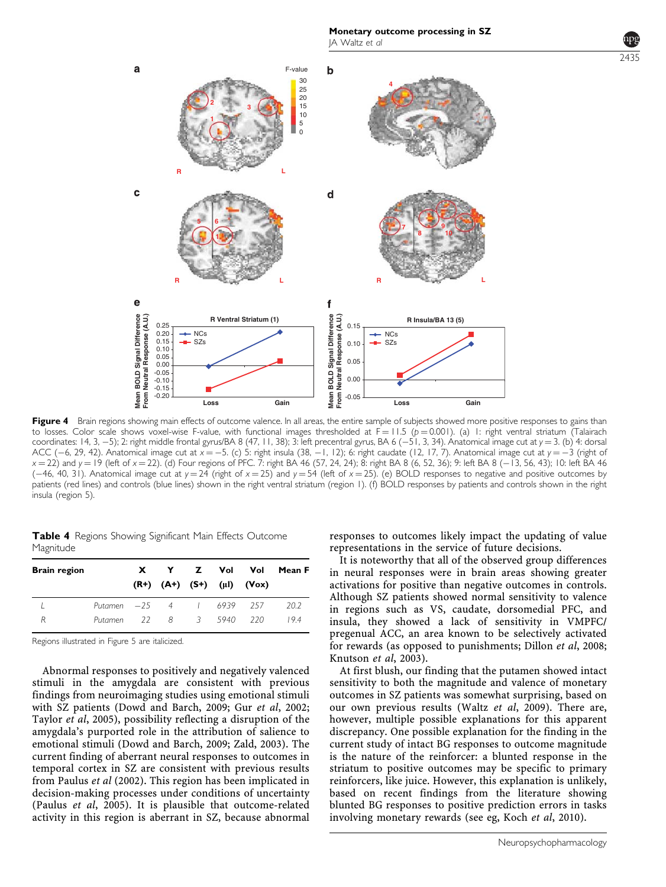

<span id="page-8-0"></span>

Figure 4 Brain regions showing main effects of outcome valence. In all areas, the entire sample of subjects showed more positive responses to gains than to losses. Color scale shows voxel-wise F-value, with functional images thresholded at  $F = 11.5$  ( $p = 0.001$ ). (a) 1: right ventral striatum (Talairach coordinates: 14, 3, –5); 2: right middle frontal gyrus/BA 8 (47, 11, 38); 3: left precentral gyrus, BA 6 (–51, 3, 34). Anatomical image cut at y = 3. (b) 4: dorsal ACC (–6, 29, 42). Anatomical image cut at  $x = -5$ . (c) 5: right insula (38, – I, 12); 6: right caudate (12, 17, 7). Anatomical image cut at  $y = -3$  (right of x = 22) and y = 19 (left of x = 22). (d) Four regions of PFC. 7: right BA 46 (57, 24, 24); 8: right BA 8 (6, 52, 36); 9: left BA 8 (–13, 56, 43); 10: left BA 46 (–46, 40, 31). Anatomical image cut at  $y = 24$  (right of  $x = 25$ ) and  $y = 54$  (left of  $x = 25$ ). (e) BOLD responses to negative and positive outcomes by patients (red lines) and controls (blue lines) shown in the right ventral striatum (region 1). (f) BOLD responses by patients and controls shown in the right insula (region 5).

Table 4 Regions Showing Significant Main Effects Outcome Magnitude

| <b>Brain region</b> |                           | <b>X</b> |             | Y Z Vol Vol |                                        | Mean F |
|---------------------|---------------------------|----------|-------------|-------------|----------------------------------------|--------|
|                     |                           |          |             |             | $(R+)$ $(A+)$ $(S+)$ $(\mu I)$ $(Vox)$ |        |
|                     | Putamen - 25 4 1 6939 257 |          |             |             |                                        | 20.2   |
| R                   | Putamen                   |          | 22 8 3 5940 |             | - 220                                  | 194    |

Regions illustrated in Figure 5 are italicized.

Abnormal responses to positively and negatively valenced stimuli in the amygdala are consistent with previous findings from neuroimaging studies using emotional stimuli with SZ patients [\(Dowd and Barch, 2009](#page-11-0); Gur et al[, 2002;](#page-11-0) [Taylor](#page-12-0) et al, 2005), possibility reflecting a disruption of the amygdala's purported role in the attribution of salience to emotional stimuli [\(Dowd and Barch, 2009;](#page-11-0) [Zald, 2003\)](#page-12-0). The current finding of aberrant neural responses to outcomes in temporal cortex in SZ are consistent with previous results from [Paulus](#page-11-0) et al (2002). This region has been implicated in decision-making processes under conditions of uncertainty [\(Paulus](#page-11-0) et al, 2005). It is plausible that outcome-related activity in this region is aberrant in SZ, because abnormal responses to outcomes likely impact the updating of value representations in the service of future decisions.

It is noteworthy that all of the observed group differences in neural responses were in brain areas showing greater activations for positive than negative outcomes in controls. Although SZ patients showed normal sensitivity to valence in regions such as VS, caudate, dorsomedial PFC, and insula, they showed a lack of sensitivity in VMPFC/ pregenual ACC, an area known to be selectively activated for rewards (as opposed to punishments; [Dillon](#page-11-0) et al, 2008; [Knutson](#page-11-0) et al, 2003).

At first blush, our finding that the putamen showed intact sensitivity to both the magnitude and valence of monetary outcomes in SZ patients was somewhat surprising, based on our own previous results (Waltz et al[, 2009\)](#page-12-0). There are, however, multiple possible explanations for this apparent discrepancy. One possible explanation for the finding in the current study of intact BG responses to outcome magnitude is the nature of the reinforcer: a blunted response in the striatum to positive outcomes may be specific to primary reinforcers, like juice. However, this explanation is unlikely, based on recent findings from the literature showing blunted BG responses to positive prediction errors in tasks involving monetary rewards (see eg, Koch et al[, 2010\)](#page-11-0).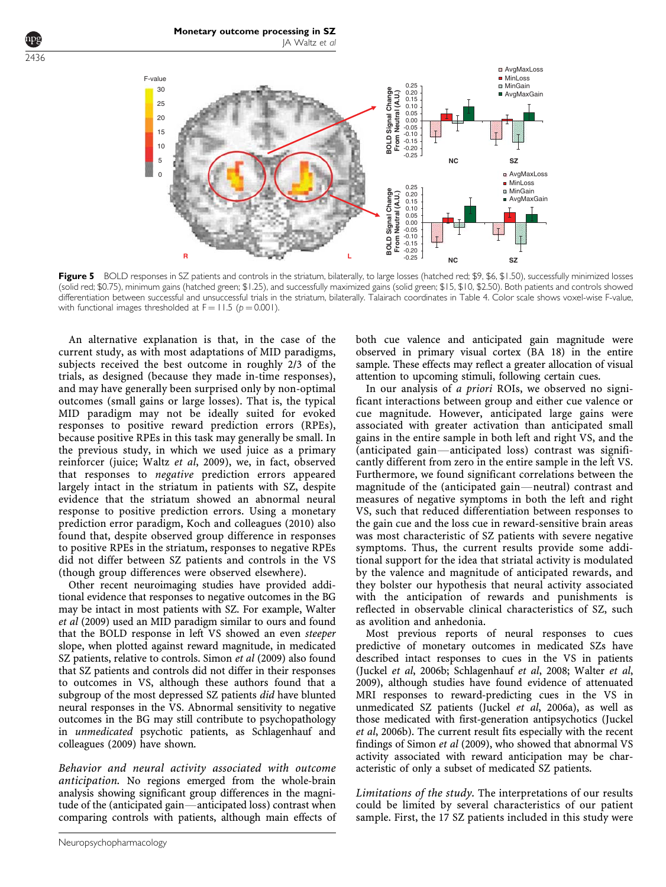<span id="page-9-0"></span>

Figure 5 BOLD responses in SZ patients and controls in the striatum, bilaterally, to large losses (hatched red; \$9, \$6, \$1.50), successfully minimized losses (solid red; \$0.75), minimum gains (hatched green; \$1.25), and successfully maximized gains (solid green; \$15, \$10, \$2.50). Both patients and controls showed differentiation between successful and unsuccessful trials in the striatum, bilaterally. Talairach coordinates in [Table 4](#page-8-0). Color scale shows voxel-wise F-value, with functional images thresholded at  $F = 11.5$  ( $p = 0.001$ ).

An alternative explanation is that, in the case of the current study, as with most adaptations of MID paradigms, subjects received the best outcome in roughly 2/3 of the trials, as designed (because they made in-time responses), and may have generally been surprised only by non-optimal outcomes (small gains or large losses). That is, the typical MID paradigm may not be ideally suited for evoked responses to positive reward prediction errors (RPEs), because positive RPEs in this task may generally be small. In the previous study, in which we used juice as a primary reinforcer (juice; Waltz et al[, 2009](#page-12-0)), we, in fact, observed that responses to negative prediction errors appeared largely intact in the striatum in patients with SZ, despite evidence that the striatum showed an abnormal neural response to positive prediction errors. Using a monetary prediction error paradigm, [Koch and colleagues \(2010\)](#page-11-0) also found that, despite observed group difference in responses to positive RPEs in the striatum, responses to negative RPEs did not differ between SZ patients and controls in the VS (though group differences were observed elsewhere).

Other recent neuroimaging studies have provided additional evidence that responses to negative outcomes in the BG may be intact in most patients with SZ. For example, [Walter](#page-12-0) et al [\(2009\)](#page-12-0) used an MID paradigm similar to ours and found that the BOLD response in left VS showed an even steeper slope, when plotted against reward magnitude, in medicated SZ patients, relative to controls. Simon et al [\(2009\)](#page-12-0) also found that SZ patients and controls did not differ in their responses to outcomes in VS, although these authors found that a subgroup of the most depressed SZ patients did have blunted neural responses in the VS. Abnormal sensitivity to negative outcomes in the BG may still contribute to psychopathology in unmedicated psychotic patients, as [Schlagenhauf and](#page-11-0) [colleagues \(2009\)](#page-11-0) have shown.

Behavior and neural activity associated with outcome anticipation. No regions emerged from the whole-brain analysis showing significant group differences in the magnitude of the (anticipated gain—anticipated loss) contrast when comparing controls with patients, although main effects of

both cue valence and anticipated gain magnitude were observed in primary visual cortex (BA 18) in the entire sample. These effects may reflect a greater allocation of visual attention to upcoming stimuli, following certain cues.

In our analysis of a priori ROIs, we observed no significant interactions between group and either cue valence or cue magnitude. However, anticipated large gains were associated with greater activation than anticipated small gains in the entire sample in both left and right VS, and the  $(anticipated gain—anticipated loss) contrast was signifi$ cantly different from zero in the entire sample in the left VS. Furthermore, we found significant correlations between the magnitude of the (anticipated gain—neutral) contrast and measures of negative symptoms in both the left and right VS, such that reduced differentiation between responses to the gain cue and the loss cue in reward-sensitive brain areas was most characteristic of SZ patients with severe negative symptoms. Thus, the current results provide some additional support for the idea that striatal activity is modulated by the valence and magnitude of anticipated rewards, and they bolster our hypothesis that neural activity associated with the anticipation of rewards and punishments is reflected in observable clinical characteristics of SZ, such as avolition and anhedonia.

Most previous reports of neural responses to cues predictive of monetary outcomes in medicated SZs have described intact responses to cues in the VS in patients (Juckel et al[, 2006b; Schlagenhauf](#page-11-0) et al, 2008; [Walter](#page-12-0) et al, [2009\)](#page-12-0), although studies have found evidence of attenuated MRI responses to reward-predicting cues in the VS in unmedicated SZ patients (Juckel et al[, 2006a](#page-11-0)), as well as those medicated with first-generation antipsychotics ([Juckel](#page-11-0) et al[, 2006b\)](#page-11-0). The current result fits especially with the recent findings of [Simon](#page-12-0) et al (2009), who showed that abnormal VS activity associated with reward anticipation may be characteristic of only a subset of medicated SZ patients.

Limitations of the study. The interpretations of our results could be limited by several characteristics of our patient sample. First, the 17 SZ patients included in this study were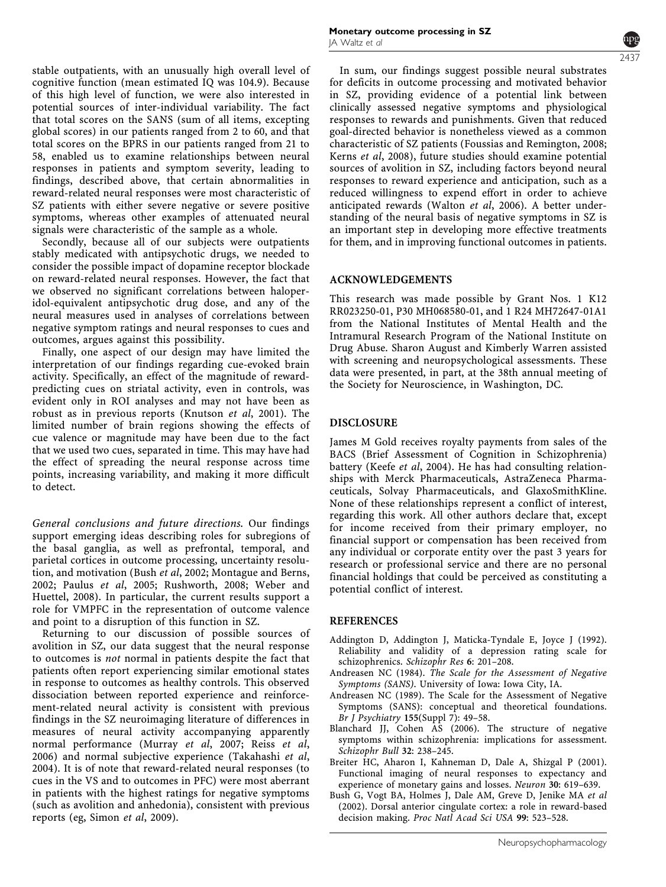<span id="page-10-0"></span>stable outpatients, with an unusually high overall level of cognitive function (mean estimated IQ was 104.9). Because of this high level of function, we were also interested in potential sources of inter-individual variability. The fact that total scores on the SANS (sum of all items, excepting global scores) in our patients ranged from 2 to 60, and that total scores on the BPRS in our patients ranged from 21 to 58, enabled us to examine relationships between neural responses in patients and symptom severity, leading to findings, described above, that certain abnormalities in reward-related neural responses were most characteristic of SZ patients with either severe negative or severe positive symptoms, whereas other examples of attenuated neural signals were characteristic of the sample as a whole.

Secondly, because all of our subjects were outpatients stably medicated with antipsychotic drugs, we needed to consider the possible impact of dopamine receptor blockade on reward-related neural responses. However, the fact that we observed no significant correlations between haloperidol-equivalent antipsychotic drug dose, and any of the neural measures used in analyses of correlations between negative symptom ratings and neural responses to cues and outcomes, argues against this possibility.

Finally, one aspect of our design may have limited the interpretation of our findings regarding cue-evoked brain activity. Specifically, an effect of the magnitude of rewardpredicting cues on striatal activity, even in controls, was evident only in ROI analyses and may not have been as robust as in previous reports ([Knutson](#page-11-0) et al, 2001). The limited number of brain regions showing the effects of cue valence or magnitude may have been due to the fact that we used two cues, separated in time. This may have had the effect of spreading the neural response across time points, increasing variability, and making it more difficult to detect.

General conclusions and future directions. Our findings support emerging ideas describing roles for subregions of the basal ganglia, as well as prefrontal, temporal, and parietal cortices in outcome processing, uncertainty resolution, and motivation (Bush et al, 2002; [Montague and Berns,](#page-11-0) [2002;](#page-11-0) Paulus et al[, 2005; Rushworth, 2008;](#page-11-0) [Weber and](#page-12-0) [Huettel, 2008\)](#page-12-0). In particular, the current results support a role for VMPFC in the representation of outcome valence and point to a disruption of this function in SZ.

Returning to our discussion of possible sources of avolition in SZ, our data suggest that the neural response to outcomes is not normal in patients despite the fact that patients often report experiencing similar emotional states in response to outcomes as healthy controls. This observed dissociation between reported experience and reinforcement-related neural activity is consistent with previous findings in the SZ neuroimaging literature of differences in measures of neural activity accompanying apparently normal performance [\(Murray](#page-11-0) et al, 2007; Reiss [et al](#page-11-0), [2006\)](#page-11-0) and normal subjective experience ([Takahashi](#page-12-0) et al, [2004\)](#page-12-0). It is of note that reward-related neural responses (to cues in the VS and to outcomes in PFC) were most aberrant in patients with the highest ratings for negative symptoms (such as avolition and anhedonia), consistent with previous reports (eg, [Simon](#page-12-0) et al, 2009).

In sum, our findings suggest possible neural substrates for deficits in outcome processing and motivated behavior in SZ, providing evidence of a potential link between clinically assessed negative symptoms and physiological responses to rewards and punishments. Given that reduced goal-directed behavior is nonetheless viewed as a common characteristic of SZ patients [\(Foussias and Remington, 2008;](#page-11-0) Kerns et al[, 2008](#page-11-0)), future studies should examine potential sources of avolition in SZ, including factors beyond neural responses to reward experience and anticipation, such as a reduced willingness to expend effort in order to achieve anticipated rewards ([Walton](#page-12-0) et al, 2006). A better understanding of the neural basis of negative symptoms in SZ is an important step in developing more effective treatments for them, and in improving functional outcomes in patients.

## ACKNOWLEDGEMENTS

This research was made possible by Grant Nos. 1 K12 RR023250-01, P30 MH068580-01, and 1 R24 MH72647-01A1 from the National Institutes of Mental Health and the Intramural Research Program of the National Institute on Drug Abuse. Sharon August and Kimberly Warren assisted with screening and neuropsychological assessments. These data were presented, in part, at the 38th annual meeting of the Society for Neuroscience, in Washington, DC.

## DISCLOSURE

James M Gold receives royalty payments from sales of the BACS (Brief Assessment of Cognition in Schizophrenia) battery (Keefe et al[, 2004](#page-11-0)). He has had consulting relationships with Merck Pharmaceuticals, AstraZeneca Pharmaceuticals, Solvay Pharmaceuticals, and GlaxoSmithKline. None of these relationships represent a conflict of interest, regarding this work. All other authors declare that, except for income received from their primary employer, no financial support or compensation has been received from any individual or corporate entity over the past 3 years for research or professional service and there are no personal financial holdings that could be perceived as constituting a potential conflict of interest.

## REFERENCES

- Addington D, Addington J, Maticka-Tyndale E, Joyce J (1992). Reliability and validity of a depression rating scale for schizophrenics. Schizophr Res 6: 201–208.
- Andreasen NC (1984). The Scale for the Assessment of Negative Symptoms (SANS). University of Iowa: Iowa City, IA.
- Andreasen NC (1989). The Scale for the Assessment of Negative Symptoms (SANS): conceptual and theoretical foundations. Br J Psychiatry 155(Suppl 7): 49–58.
- Blanchard JJ, Cohen AS (2006). The structure of negative symptoms within schizophrenia: implications for assessment. Schizophr Bull 32: 238–245.
- Breiter HC, Aharon I, Kahneman D, Dale A, Shizgal P (2001). Functional imaging of neural responses to expectancy and experience of monetary gains and losses. Neuron 30: 619–639.
- Bush G, Vogt BA, Holmes J, Dale AM, Greve D, Jenike MA et al (2002). Dorsal anterior cingulate cortex: a role in reward-based decision making. Proc Natl Acad Sci USA 99: 523–528.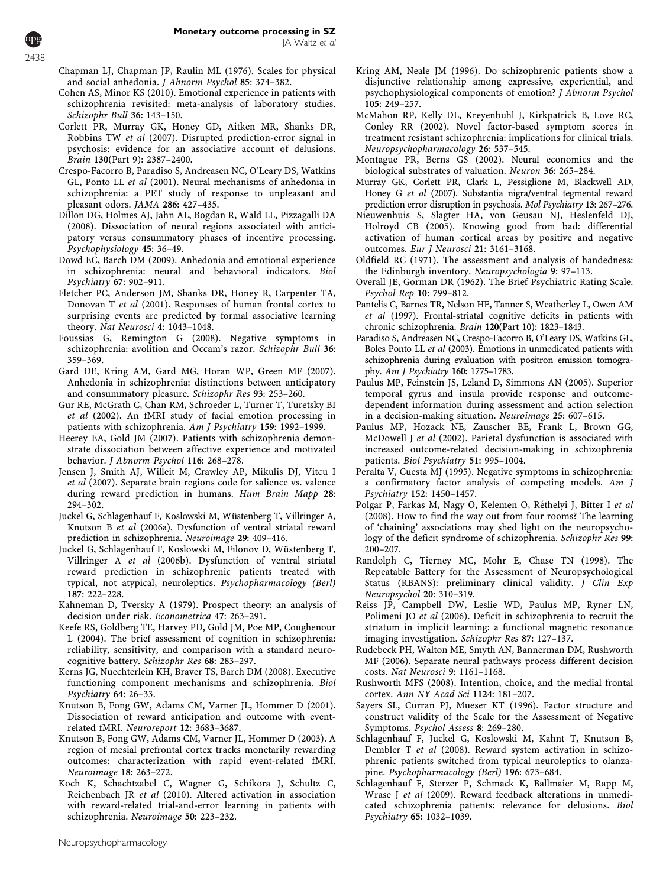- <span id="page-11-0"></span>Chapman LJ, Chapman JP, Raulin ML (1976). Scales for physical and social anhedonia. J Abnorm Psychol 85: 374–382.
- Cohen AS, Minor KS (2010). Emotional experience in patients with schizophrenia revisited: meta-analysis of laboratory studies. Schizophr Bull 36: 143–150.
- Corlett PR, Murray GK, Honey GD, Aitken MR, Shanks DR, Robbins TW et al (2007). Disrupted prediction-error signal in psychosis: evidence for an associative account of delusions. Brain 130(Part 9): 2387–2400.
- Crespo-Facorro B, Paradiso S, Andreasen NC, O'Leary DS, Watkins GL, Ponto LL et al (2001). Neural mechanisms of anhedonia in schizophrenia: a PET study of response to unpleasant and pleasant odors. JAMA 286: 427–435.
- Dillon DG, Holmes AJ, Jahn AL, Bogdan R, Wald LL, Pizzagalli DA (2008). Dissociation of neural regions associated with anticipatory versus consummatory phases of incentive processing. Psychophysiology 45: 36–49.
- Dowd EC, Barch DM (2009). Anhedonia and emotional experience in schizophrenia: neural and behavioral indicators. Biol Psychiatry 67: 902–911.
- Fletcher PC, Anderson JM, Shanks DR, Honey R, Carpenter TA, Donovan T et al (2001). Responses of human frontal cortex to surprising events are predicted by formal associative learning theory. Nat Neurosci 4: 1043–1048.
- Foussias G, Remington G (2008). Negative symptoms in schizophrenia: avolition and Occam's razor. Schizophr Bull 36: 359–369.
- Gard DE, Kring AM, Gard MG, Horan WP, Green MF (2007). Anhedonia in schizophrenia: distinctions between anticipatory and consummatory pleasure. Schizophr Res 93: 253–260.
- Gur RE, McGrath C, Chan RM, Schroeder L, Turner T, Turetsky BI et al (2002). An fMRI study of facial emotion processing in patients with schizophrenia. Am J Psychiatry 159: 1992–1999.
- Heerey EA, Gold JM (2007). Patients with schizophrenia demonstrate dissociation between affective experience and motivated behavior. J Abnorm Psychol 116: 268–278.
- Jensen J, Smith AJ, Willeit M, Crawley AP, Mikulis DJ, Vitcu I et al (2007). Separate brain regions code for salience vs. valence during reward prediction in humans. Hum Brain Mapp 28: 294–302.
- Juckel G, Schlagenhauf F, Koslowski M, Wüstenberg T, Villringer A, Knutson B et al (2006a). Dysfunction of ventral striatal reward prediction in schizophrenia. Neuroimage 29: 409–416.
- Juckel G, Schlagenhauf F, Koslowski M, Filonov D, Wüstenberg T, Villringer A et al (2006b). Dysfunction of ventral striatal reward prediction in schizophrenic patients treated with typical, not atypical, neuroleptics. Psychopharmacology (Berl) 187: 222–228.
- Kahneman D, Tversky A (1979). Prospect theory: an analysis of decision under risk. Econometrica 47: 263–291.
- Keefe RS, Goldberg TE, Harvey PD, Gold JM, Poe MP, Coughenour L (2004). The brief assessment of cognition in schizophrenia: reliability, sensitivity, and comparison with a standard neurocognitive battery. Schizophr Res 68: 283–297.
- Kerns JG, Nuechterlein KH, Braver TS, Barch DM (2008). Executive functioning component mechanisms and schizophrenia. Biol Psychiatry 64: 26–33.
- Knutson B, Fong GW, Adams CM, Varner JL, Hommer D (2001). Dissociation of reward anticipation and outcome with eventrelated fMRI. Neuroreport 12: 3683–3687.
- Knutson B, Fong GW, Adams CM, Varner JL, Hommer D (2003). A region of mesial prefrontal cortex tracks monetarily rewarding outcomes: characterization with rapid event-related fMRI. Neuroimage 18: 263–272.
- Koch K, Schachtzabel C, Wagner G, Schikora J, Schultz C, Reichenbach JR et al (2010). Altered activation in association with reward-related trial-and-error learning in patients with schizophrenia. Neuroimage 50: 223–232.
- Kring AM, Neale JM (1996). Do schizophrenic patients show a disjunctive relationship among expressive, experiential, and psychophysiological components of emotion? J Abnorm Psychol 105: 249–257.
- McMahon RP, Kelly DL, Kreyenbuhl J, Kirkpatrick B, Love RC, Conley RR (2002). Novel factor-based symptom scores in treatment resistant schizophrenia: implications for clinical trials. Neuropsychopharmacology 26: 537–545.
- Montague PR, Berns GS (2002). Neural economics and the biological substrates of valuation. Neuron 36: 265–284.
- Murray GK, Corlett PR, Clark L, Pessiglione M, Blackwell AD, Honey G et al (2007). Substantia nigra/ventral tegmental reward prediction error disruption in psychosis. Mol Psychiatry 13: 267–276.
- Nieuwenhuis S, Slagter HA, von Geusau NJ, Heslenfeld DJ, Holroyd CB (2005). Knowing good from bad: differential activation of human cortical areas by positive and negative outcomes. Eur J Neurosci 21: 3161–3168.
- Oldfield RC (1971). The assessment and analysis of handedness: the Edinburgh inventory. Neuropsychologia 9: 97–113.
- Overall JE, Gorman DR (1962). The Brief Psychiatric Rating Scale. Psychol Rep 10: 799–812.
- Pantelis C, Barnes TR, Nelson HE, Tanner S, Weatherley L, Owen AM et al (1997). Frontal-striatal cognitive deficits in patients with chronic schizophrenia. Brain 120(Part 10): 1823–1843.
- Paradiso S, Andreasen NC, Crespo-Facorro B, O'Leary DS, Watkins GL, Boles Ponto LL et al (2003). Emotions in unmedicated patients with schizophrenia during evaluation with positron emission tomography. Am J Psychiatry 160: 1775–1783.
- Paulus MP, Feinstein JS, Leland D, Simmons AN (2005). Superior temporal gyrus and insula provide response and outcomedependent information during assessment and action selection in a decision-making situation. Neuroimage 25: 607–615.
- Paulus MP, Hozack NE, Zauscher BE, Frank L, Brown GG, McDowell J et al (2002). Parietal dysfunction is associated with increased outcome-related decision-making in schizophrenia patients. Biol Psychiatry 51: 995–1004.
- Peralta V, Cuesta MJ (1995). Negative symptoms in schizophrenia: a confirmatory factor analysis of competing models. Am J Psychiatry 152: 1450–1457.
- Polgar P, Farkas M, Nagy O, Kelemen O, Réthelyi J, Bitter I et al (2008). How to find the way out from four rooms? The learning of 'chaining' associations may shed light on the neuropsychology of the deficit syndrome of schizophrenia. Schizophr Res 99: 200–207.
- Randolph C, Tierney MC, Mohr E, Chase TN (1998). The Repeatable Battery for the Assessment of Neuropsychological Status (RBANS): preliminary clinical validity. J Clin Exp Neuropsychol 20: 310–319.
- Reiss JP, Campbell DW, Leslie WD, Paulus MP, Ryner LN, Polimeni JO et al (2006). Deficit in schizophrenia to recruit the striatum in implicit learning: a functional magnetic resonance imaging investigation. Schizophr Res 87: 127–137.
- Rudebeck PH, Walton ME, Smyth AN, Bannerman DM, Rushworth MF (2006). Separate neural pathways process different decision costs. Nat Neurosci 9: 1161–1168.
- Rushworth MFS (2008). Intention, choice, and the medial frontal cortex. Ann NY Acad Sci 1124: 181–207.
- Sayers SL, Curran PJ, Mueser KT (1996). Factor structure and construct validity of the Scale for the Assessment of Negative Symptoms. Psychol Assess 8: 269–280.
- Schlagenhauf F, Juckel G, Koslowski M, Kahnt T, Knutson B, Dembler T et al (2008). Reward system activation in schizophrenic patients switched from typical neuroleptics to olanzapine. Psychopharmacology (Berl) 196: 673–684.
- Schlagenhauf F, Sterzer P, Schmack K, Ballmaier M, Rapp M, Wrase J et al (2009). Reward feedback alterations in unmedicated schizophrenia patients: relevance for delusions. Biol Psychiatry 65: 1032–1039.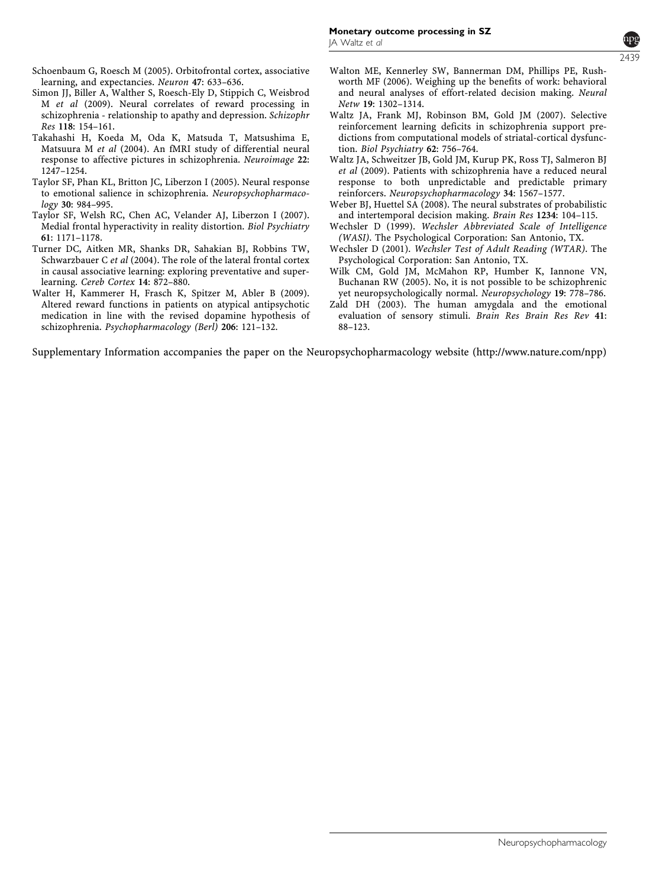- <span id="page-12-0"></span>Schoenbaum G, Roesch M (2005). Orbitofrontal cortex, associative learning, and expectancies. Neuron 47: 633–636.
- Simon JJ, Biller A, Walther S, Roesch-Ely D, Stippich C, Weisbrod M et al (2009). Neural correlates of reward processing in schizophrenia - relationship to apathy and depression. Schizophr Res 118: 154–161.
- Takahashi H, Koeda M, Oda K, Matsuda T, Matsushima E, Matsuura M et al (2004). An fMRI study of differential neural response to affective pictures in schizophrenia. Neuroimage 22: 1247–1254.
- Taylor SF, Phan KL, Britton JC, Liberzon I (2005). Neural response to emotional salience in schizophrenia. Neuropsychopharmacology 30: 984–995.
- Taylor SF, Welsh RC, Chen AC, Velander AJ, Liberzon I (2007). Medial frontal hyperactivity in reality distortion. Biol Psychiatry 61: 1171–1178.
- Turner DC, Aitken MR, Shanks DR, Sahakian BJ, Robbins TW, Schwarzbauer C et al (2004). The role of the lateral frontal cortex in causal associative learning: exploring preventative and superlearning. Cereb Cortex 14: 872–880.
- Walter H, Kammerer H, Frasch K, Spitzer M, Abler B (2009). Altered reward functions in patients on atypical antipsychotic medication in line with the revised dopamine hypothesis of schizophrenia. Psychopharmacology (Berl) 206: 121–132.
- Walton ME, Kennerley SW, Bannerman DM, Phillips PE, Rushworth MF (2006). Weighing up the benefits of work: behavioral and neural analyses of effort-related decision making. Neural Netw 19: 1302–1314.
- Waltz JA, Frank MJ, Robinson BM, Gold JM (2007). Selective reinforcement learning deficits in schizophrenia support predictions from computational models of striatal-cortical dysfunction. Biol Psychiatry 62: 756–764.
- Waltz JA, Schweitzer JB, Gold JM, Kurup PK, Ross TJ, Salmeron BJ et al (2009). Patients with schizophrenia have a reduced neural response to both unpredictable and predictable primary reinforcers. Neuropsychopharmacology 34: 1567–1577.
- Weber BJ, Huettel SA (2008). The neural substrates of probabilistic and intertemporal decision making. Brain Res 1234: 104–115.
- Wechsler D (1999). Wechsler Abbreviated Scale of Intelligence (WASI). The Psychological Corporation: San Antonio, TX.
- Wechsler D (2001). Wechsler Test of Adult Reading (WTAR). The Psychological Corporation: San Antonio, TX.
- Wilk CM, Gold JM, McMahon RP, Humber K, Iannone VN, Buchanan RW (2005). No, it is not possible to be schizophrenic yet neuropsychologically normal. Neuropsychology 19: 778–786.
- Zald DH (2003). The human amygdala and the emotional evaluation of sensory stimuli. Brain Res Brain Res Rev 41: 88–123.

Supplementary Information accompanies the paper on the Neuropsychopharmacology website [\(http://www.nature.com/npp](http://www.nature.com/npp))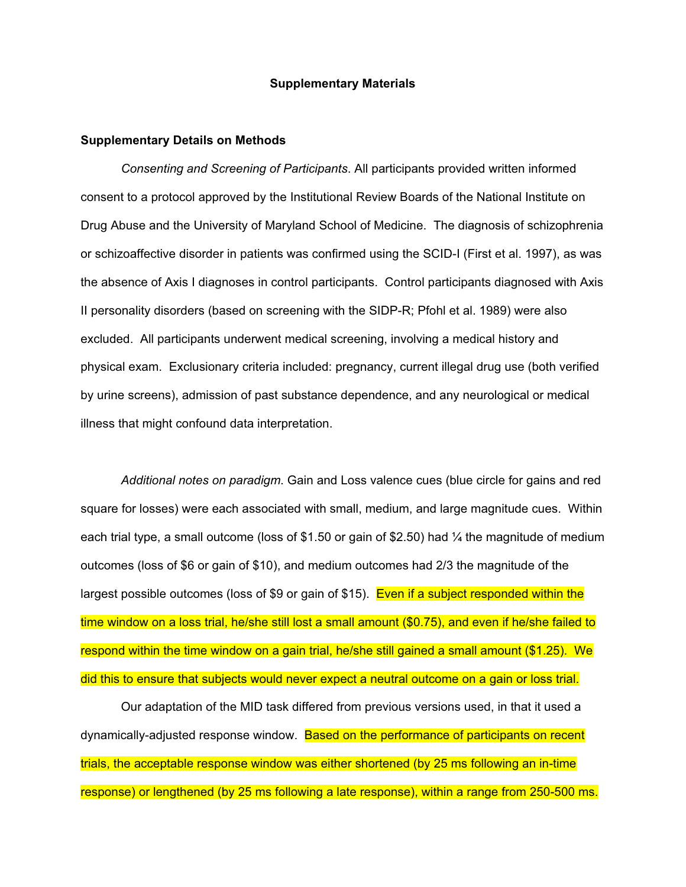## **Supplementary Materials**

## **Supplementary Details on Methods**

*Consenting and Screening of Participants*. All participants provided written informed consent to a protocol approved by the Institutional Review Boards of the National Institute on Drug Abuse and the University of Maryland School of Medicine. The diagnosis of schizophrenia or schizoaffective disorder in patients was confirmed using the SCID-I (First et al. 1997), as was the absence of Axis I diagnoses in control participants. Control participants diagnosed with Axis II personality disorders (based on screening with the SIDP-R; Pfohl et al. 1989) were also excluded. All participants underwent medical screening, involving a medical history and physical exam. Exclusionary criteria included: pregnancy, current illegal drug use (both verified by urine screens), admission of past substance dependence, and any neurological or medical illness that might confound data interpretation.

*Additional notes on paradigm*. Gain and Loss valence cues (blue circle for gains and red square for losses) were each associated with small, medium, and large magnitude cues. Within each trial type, a small outcome (loss of \$1.50 or gain of \$2.50) had ¼ the magnitude of medium outcomes (loss of \$6 or gain of \$10), and medium outcomes had 2/3 the magnitude of the largest possible outcomes (loss of \$9 or gain of \$15). Even if a subject responded within the time window on a loss trial, he/she still lost a small amount (\$0.75), and even if he/she failed to respond within the time window on a gain trial, he/she still gained a small amount (\$1.25). We did this to ensure that subjects would never expect a neutral outcome on a gain or loss trial.

Our adaptation of the MID task differed from previous versions used, in that it used a dynamically-adjusted response window. Based on the performance of participants on recent trials, the acceptable response window was either shortened (by 25 ms following an in-time response) or lengthened (by 25 ms following a late response), within a range from 250-500 ms.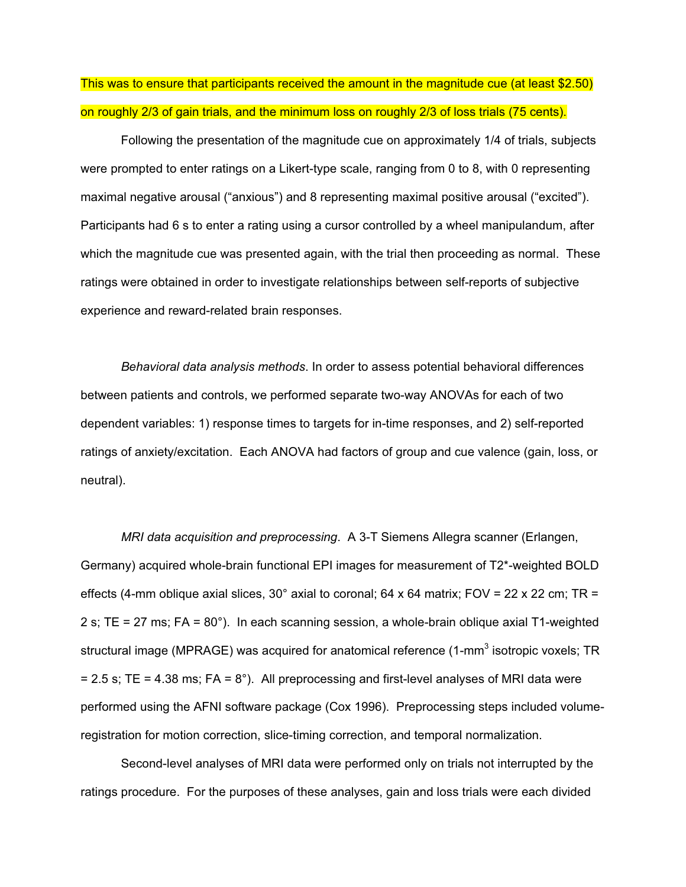This was to ensure that participants received the amount in the magnitude cue (at least \$2.50) on roughly 2/3 of gain trials, and the minimum loss on roughly 2/3 of loss trials (75 cents).

Following the presentation of the magnitude cue on approximately 1/4 of trials, subjects were prompted to enter ratings on a Likert-type scale, ranging from 0 to 8, with 0 representing maximal negative arousal ("anxious") and 8 representing maximal positive arousal ("excited"). Participants had 6 s to enter a rating using a cursor controlled by a wheel manipulandum, after which the magnitude cue was presented again, with the trial then proceeding as normal. These ratings were obtained in order to investigate relationships between self-reports of subjective experience and reward-related brain responses.

*Behavioral data analysis methods*. In order to assess potential behavioral differences between patients and controls, we performed separate two-way ANOVAs for each of two dependent variables: 1) response times to targets for in-time responses, and 2) self-reported ratings of anxiety/excitation. Each ANOVA had factors of group and cue valence (gain, loss, or neutral).

*MRI data acquisition and preprocessing*. A 3-T Siemens Allegra scanner (Erlangen, Germany) acquired whole-brain functional EPI images for measurement of T2\*-weighted BOLD effects (4-mm oblique axial slices, 30° axial to coronal; 64 x 64 matrix; FOV = 22 x 22 cm; TR = 2 s; TE = 27 ms; FA = 80°). In each scanning session, a whole-brain oblique axial T1-weighted structural image (MPRAGE) was acquired for anatomical reference (1-mm $^3$  isotropic voxels; TR  $= 2.5$  s; TE = 4.38 ms; FA =  $8^{\circ}$ ). All preprocessing and first-level analyses of MRI data were performed using the AFNI software package (Cox 1996). Preprocessing steps included volumeregistration for motion correction, slice-timing correction, and temporal normalization.

Second-level analyses of MRI data were performed only on trials not interrupted by the ratings procedure. For the purposes of these analyses, gain and loss trials were each divided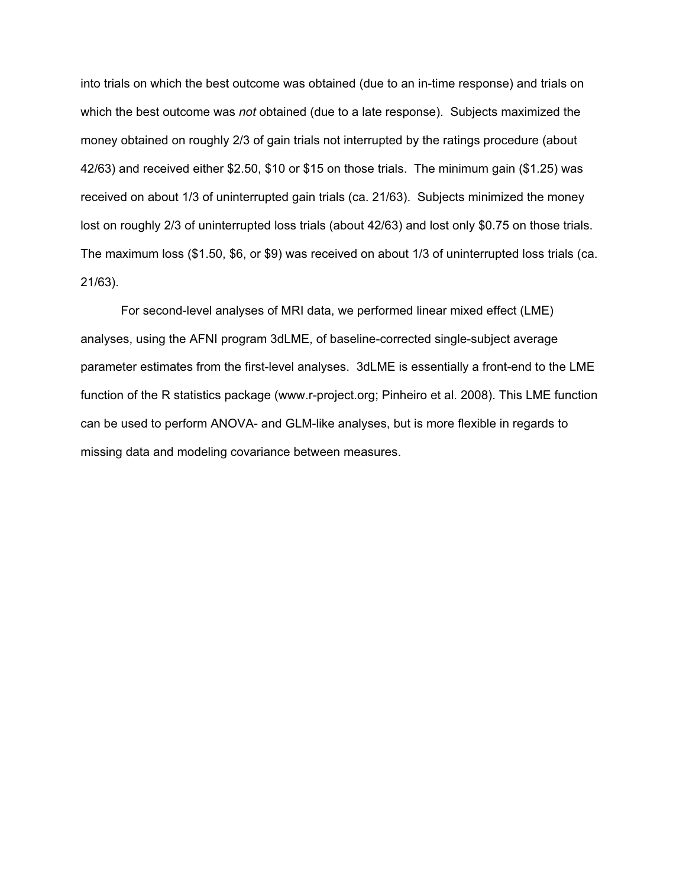into trials on which the best outcome was obtained (due to an in-time response) and trials on which the best outcome was *not* obtained (due to a late response). Subjects maximized the money obtained on roughly 2/3 of gain trials not interrupted by the ratings procedure (about 42/63) and received either \$2.50, \$10 or \$15 on those trials. The minimum gain (\$1.25) was received on about 1/3 of uninterrupted gain trials (ca. 21/63). Subjects minimized the money lost on roughly 2/3 of uninterrupted loss trials (about 42/63) and lost only \$0.75 on those trials. The maximum loss (\$1.50, \$6, or \$9) was received on about 1/3 of uninterrupted loss trials (ca. 21/63).

For second-level analyses of MRI data, we performed linear mixed effect (LME) analyses, using the AFNI program 3dLME, of baseline-corrected single-subject average parameter estimates from the first-level analyses. 3dLME is essentially a front-end to the LME function of the R statistics package (www.r-project.org; Pinheiro et al. 2008). This LME function can be used to perform ANOVA- and GLM-like analyses, but is more flexible in regards to missing data and modeling covariance between measures.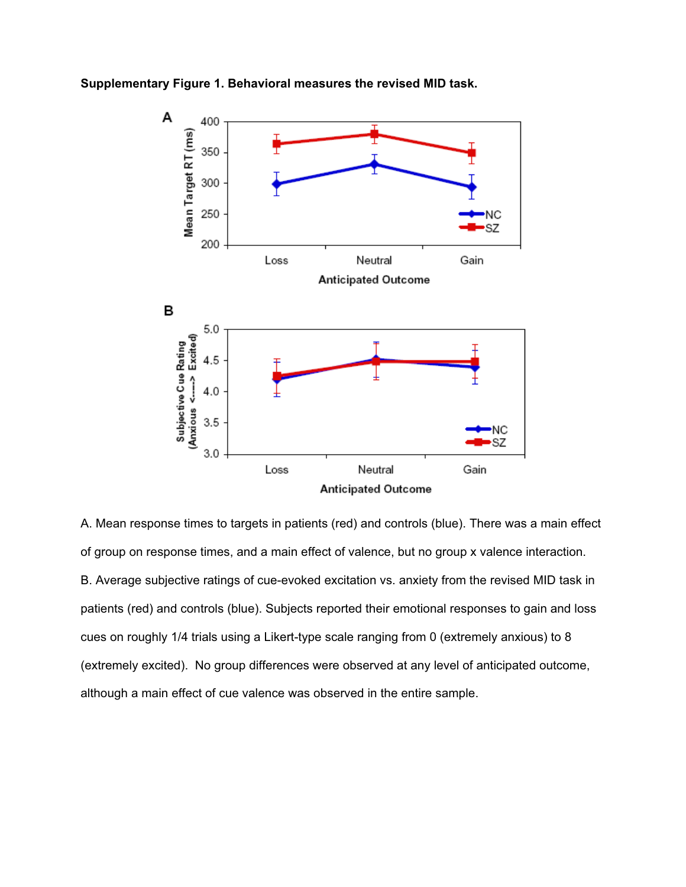# **Supplementary Figure 1. Behavioral measures the revised MID task.**



A. Mean response times to targets in patients (red) and controls (blue). There was a main effect of group on response times, and a main effect of valence, but no group x valence interaction. B. Average subjective ratings of cue-evoked excitation vs. anxiety from the revised MID task in patients (red) and controls (blue). Subjects reported their emotional responses to gain and loss cues on roughly 1/4 trials using a Likert-type scale ranging from 0 (extremely anxious) to 8 (extremely excited). No group differences were observed at any level of anticipated outcome, although a main effect of cue valence was observed in the entire sample.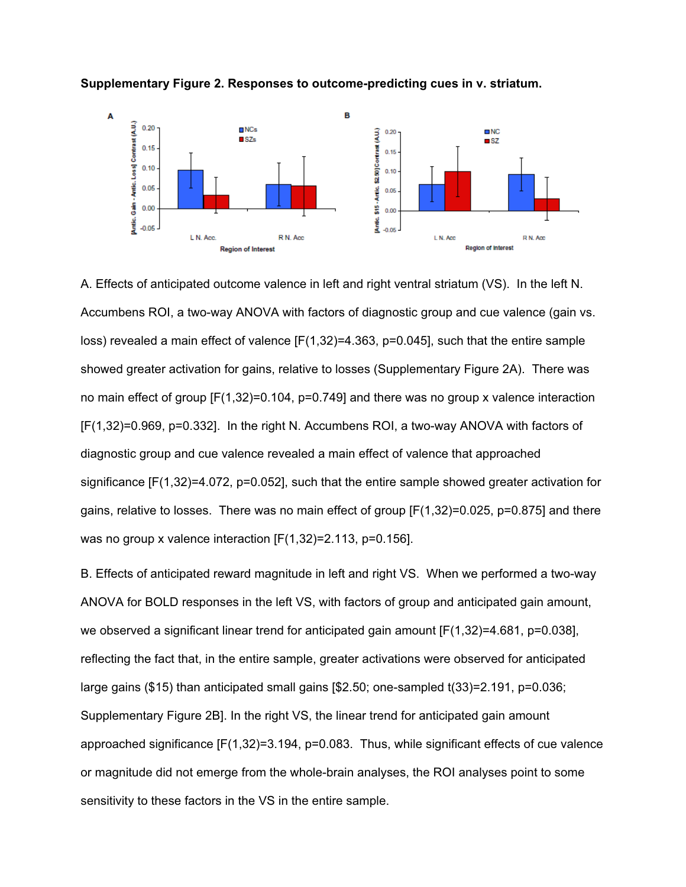

**Supplementary Figure 2. Responses to outcome-predicting cues in v. striatum.** 

A. Effects of anticipated outcome valence in left and right ventral striatum (VS). In the left N. Accumbens ROI, a two-way ANOVA with factors of diagnostic group and cue valence (gain vs. loss) revealed a main effect of valence  $[F(1,32)=4.363, p=0.045]$ , such that the entire sample showed greater activation for gains, relative to losses (Supplementary Figure 2A). There was no main effect of group [F(1,32)=0.104, p=0.749] and there was no group x valence interaction [F(1,32)=0.969, p=0.332]. In the right N. Accumbens ROI, a two-way ANOVA with factors of diagnostic group and cue valence revealed a main effect of valence that approached significance  $[F(1,32)=4.072, p=0.052]$ , such that the entire sample showed greater activation for gains, relative to losses. There was no main effect of group [F(1,32)=0.025, p=0.875] and there was no group x valence interaction [F(1,32)=2.113, p=0.156].

B. Effects of anticipated reward magnitude in left and right VS. When we performed a two-way ANOVA for BOLD responses in the left VS, with factors of group and anticipated gain amount, we observed a significant linear trend for anticipated gain amount  $[F(1,32)=4.681, p=0.038]$ , reflecting the fact that, in the entire sample, greater activations were observed for anticipated large gains (\$15) than anticipated small gains [\$2.50; one-sampled t(33)=2.191, p=0.036; Supplementary Figure 2B]. In the right VS, the linear trend for anticipated gain amount approached significance [F(1,32)=3.194, p=0.083. Thus, while significant effects of cue valence or magnitude did not emerge from the whole-brain analyses, the ROI analyses point to some sensitivity to these factors in the VS in the entire sample.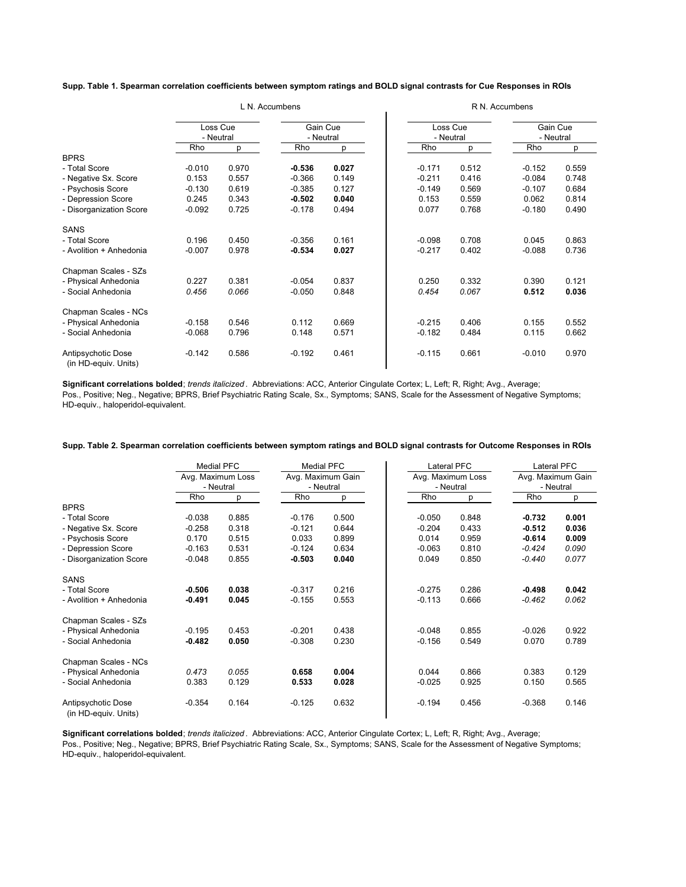**Supp. Table 1. Spearman correlation coefficients between symptom ratings and BOLD signal contrasts for Cue Responses in ROIs**

|                                            | L N. Accumbens        |       |                       |       |          |                       | R N. Accumbens |                       |  |
|--------------------------------------------|-----------------------|-------|-----------------------|-------|----------|-----------------------|----------------|-----------------------|--|
|                                            | Loss Cue<br>- Neutral |       | Gain Cue<br>- Neutral |       |          | Loss Cue<br>- Neutral |                | Gain Cue<br>- Neutral |  |
|                                            | Rho                   | p     | Rho                   | p     | Rho      | p                     | Rho            | D                     |  |
| <b>BPRS</b>                                |                       |       |                       |       |          |                       |                |                       |  |
| - Total Score                              | $-0.010$              | 0.970 | $-0.536$              | 0.027 | $-0.171$ | 0.512                 | $-0.152$       | 0.559                 |  |
| - Negative Sx. Score                       | 0.153                 | 0.557 | $-0.366$              | 0.149 | $-0.211$ | 0.416                 | $-0.084$       | 0.748                 |  |
| - Psychosis Score                          | $-0.130$              | 0.619 | $-0.385$              | 0.127 | $-0.149$ | 0.569                 | $-0.107$       | 0.684                 |  |
| - Depression Score                         | 0.245                 | 0.343 | $-0.502$              | 0.040 | 0.153    | 0.559                 | 0.062          | 0.814                 |  |
| - Disorganization Score                    | $-0.092$              | 0.725 | $-0.178$              | 0.494 | 0.077    | 0.768                 | $-0.180$       | 0.490                 |  |
| <b>SANS</b>                                |                       |       |                       |       |          |                       |                |                       |  |
| - Total Score                              | 0.196                 | 0.450 | $-0.356$              | 0.161 | $-0.098$ | 0.708                 | 0.045          | 0.863                 |  |
| - Avolition + Anhedonia                    | $-0.007$              | 0.978 | $-0.534$              | 0.027 | $-0.217$ | 0.402                 | $-0.088$       | 0.736                 |  |
| Chapman Scales - SZs                       |                       |       |                       |       |          |                       |                |                       |  |
| - Physical Anhedonia                       | 0.227                 | 0.381 | $-0.054$              | 0.837 | 0.250    | 0.332                 | 0.390          | 0.121                 |  |
| - Social Anhedonia                         | 0.456                 | 0.066 | $-0.050$              | 0.848 | 0.454    | 0.067                 | 0.512          | 0.036                 |  |
| Chapman Scales - NCs                       |                       |       |                       |       |          |                       |                |                       |  |
| - Physical Anhedonia                       | $-0.158$              | 0.546 | 0.112                 | 0.669 | $-0.215$ | 0.406                 | 0.155          | 0.552                 |  |
| - Social Anhedonia                         | $-0.068$              | 0.796 | 0.148                 | 0.571 | $-0.182$ | 0.484                 | 0.115          | 0.662                 |  |
| Antipsychotic Dose<br>(in HD-equiv. Units) | $-0.142$              | 0.586 | $-0.192$              | 0.461 | $-0.115$ | 0.661                 | $-0.010$       | 0.970                 |  |

**Significant correlations bolded**; *trends italicized* . Abbreviations: ACC, Anterior Cingulate Cortex; L, Left; R, Right; Avg., Average; Pos., Positive; Neg., Negative; BPRS, Brief Psychiatric Rating Scale, Sx., Symptoms; SANS, Scale for the Assessment of Negative Symptoms; HD-equiv., haloperidol-equivalent.

|                                            | <b>Medial PFC</b><br>Avg. Maximum Loss<br>- Neutral |       | <b>Medial PFC</b> |                   |          | Lateral PFC       | Lateral PFC       |       |
|--------------------------------------------|-----------------------------------------------------|-------|-------------------|-------------------|----------|-------------------|-------------------|-------|
|                                            |                                                     |       |                   | Avg. Maximum Gain |          | Avg. Maximum Loss | Avg. Maximum Gain |       |
|                                            |                                                     |       | - Neutral         |                   |          | - Neutral         | - Neutral         |       |
|                                            | Rho                                                 | p     | Rho               | p                 | Rho      | p                 | Rho               | р     |
| <b>BPRS</b>                                |                                                     |       |                   |                   |          |                   |                   |       |
| - Total Score                              | $-0.038$                                            | 0.885 | $-0.176$          | 0.500             | $-0.050$ | 0.848             | $-0.732$          | 0.001 |
| - Negative Sx. Score                       | $-0.258$                                            | 0.318 | $-0.121$          | 0.644             | $-0.204$ | 0.433             | $-0.512$          | 0.036 |
| - Psychosis Score                          | 0.170                                               | 0.515 | 0.033             | 0.899             | 0.014    | 0.959             | $-0.614$          | 0.009 |
| - Depression Score                         | $-0.163$                                            | 0.531 | $-0.124$          | 0.634             | $-0.063$ | 0.810             | -0.424            | 0.090 |
| - Disorganization Score                    | $-0.048$                                            | 0.855 | $-0.503$          | 0.040             | 0.049    | 0.850             | $-0.440$          | 0.077 |
| <b>SANS</b>                                |                                                     |       |                   |                   |          |                   |                   |       |
| - Total Score                              | $-0.506$                                            | 0.038 | $-0.317$          | 0.216             | $-0.275$ | 0.286             | $-0.498$          | 0.042 |
| - Avolition + Anhedonia                    | -0.491                                              | 0.045 | $-0.155$          | 0.553             | $-0.113$ | 0.666             | $-0.462$          | 0.062 |
| Chapman Scales - SZs                       |                                                     |       |                   |                   |          |                   |                   |       |
| - Physical Anhedonia                       | $-0.195$                                            | 0.453 | $-0.201$          | 0.438             | $-0.048$ | 0.855             | $-0.026$          | 0.922 |
| - Social Anhedonia                         | $-0.482$                                            | 0.050 | $-0.308$          | 0.230             | $-0.156$ | 0.549             | 0.070             | 0.789 |
| Chapman Scales - NCs                       |                                                     |       |                   |                   |          |                   |                   |       |
| - Physical Anhedonia                       | 0.473                                               | 0.055 | 0.658             | 0.004             | 0.044    | 0.866             | 0.383             | 0.129 |
| - Social Anhedonia                         | 0.383                                               | 0.129 | 0.533             | 0.028             | $-0.025$ | 0.925             | 0.150             | 0.565 |
| Antipsychotic Dose<br>(in HD-equiv. Units) | $-0.354$                                            | 0.164 | $-0.125$          | 0.632             | $-0.194$ | 0.456             | $-0.368$          | 0.146 |

**Supp. Table 2. Spearman correlation coefficients between symptom ratings and BOLD signal contrasts for Outcome Responses in ROIs**

**Significant correlations bolded**; *trends italicized* . Abbreviations: ACC, Anterior Cingulate Cortex; L, Left; R, Right; Avg., Average;

Pos., Positive; Neg., Negative; BPRS, Brief Psychiatric Rating Scale, Sx., Symptoms; SANS, Scale for the Assessment of Negative Symptoms; HD-equiv., haloperidol-equivalent.